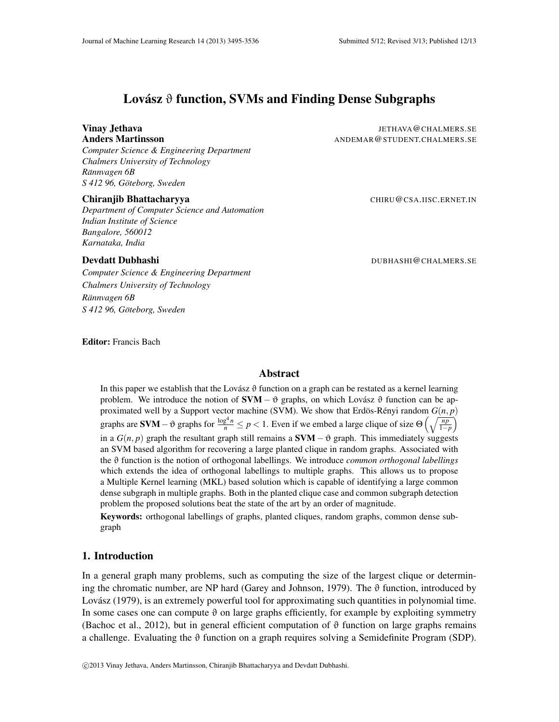# Lovász  $\vartheta$  function, SVMs and Finding Dense Subgraphs

*Computer Science & Engineering Department Chalmers University of Technology Rannvagen 6B ¨ S 412 96, Goteborg, Sweden ¨*

#### Chiranjib Bhattacharyya **Chiranjib Bhattacharyya** CHIRU@CSA.IISC.ERNET.IN

*Department of Computer Science and Automation Indian Institute of Science Bangalore, 560012 Karnataka, India*

**Vinay Jethava** Jethava Jethava Jethava Jethava Jethava Jethava Jethava Jethava Jethava Jethava Jethava Jethava Jethava Jethava Jethava Jethava Jethava Jethava Jethava Jethava Jethava Jethava Jethava Jethava Jethava Jethav Anders Martinsson **ANDEMAR ANDEMAR@STUDENT.CHALMERS.SE** 

#### **Devdatt Dubhashi** Dubhashi Dubhashi Dubhashi Dubhashi Dubhashi Dubhashi Dubhashi Dubhashi Dubhashi Dubhashi Dubhashi Dubhashi Dubhashi Dubhashi Dubhashi Dubhashi Dubhashi Dubhashi Dubhashi Dubhashi Dubhashi Dubhashi Dubha

*Computer Science & Engineering Department Chalmers University of Technology Rannvagen 6B ¨ S 412 96, Goteborg, Sweden ¨*

Editor: Francis Bach

## Abstract

In this paper we establish that the Lovász  $\vartheta$  function on a graph can be restated as a kernel learning problem. We introduce the notion of  $SVM - \vartheta$  graphs, on which Lovász  $\vartheta$  function can be approximated well by a Support vector machine (SVM). We show that Erdös-Rényi random  $G(n, p)$ graphs are **SVM** –  $\vartheta$  graphs for  $\frac{\log^4 n}{n} \le p < 1$ . Even if we embed a large clique of size  $\Theta\left(\sqrt{\frac{np}{1-p}}\right)$ 1−*p*  $\setminus$ in a  $G(n, p)$  graph the resultant graph still remains a  $SVM - \vartheta$  graph. This immediately suggests an SVM based algorithm for recovering a large planted clique in random graphs. Associated with the ϑ function is the notion of orthogonal labellings. We introduce *common orthogonal labellings* which extends the idea of orthogonal labellings to multiple graphs. This allows us to propose a Multiple Kernel learning (MKL) based solution which is capable of identifying a large common dense subgraph in multiple graphs. Both in the planted clique case and common subgraph detection problem the proposed solutions beat the state of the art by an order of magnitude.

Keywords: orthogonal labellings of graphs, planted cliques, random graphs, common dense subgraph

## 1. Introduction

In a general graph many problems, such as computing the size of the largest clique or determining the chromatic number, are NP hard (Garey and Johnson, 1979). The  $\vartheta$  function, introduced by Lovász (1979), is an extremely powerful tool for approximating such quantities in polynomial time. In some cases one can compute  $\vartheta$  on large graphs efficiently, for example by exploiting symmetry (Bachoc et al., 2012), but in general efficient computation of  $\vartheta$  function on large graphs remains a challenge. Evaluating the  $\vartheta$  function on a graph requires solving a Semidefinite Program (SDP).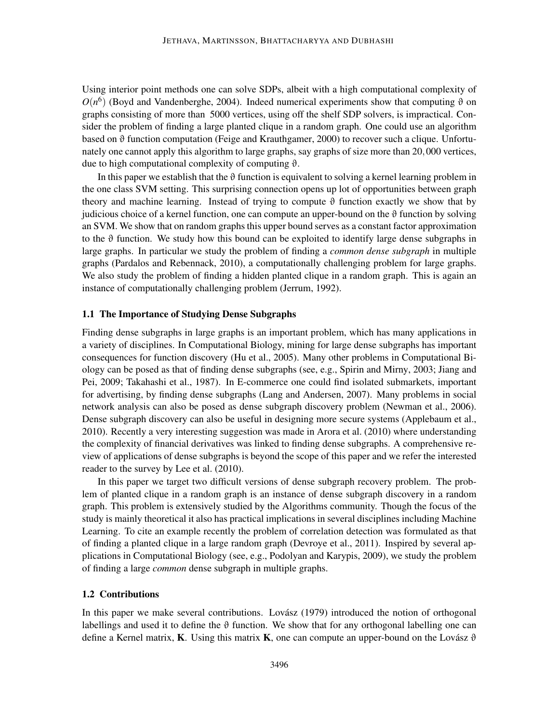Using interior point methods one can solve SDPs, albeit with a high computational complexity of  $O(n^6)$  (Boyd and Vandenberghe, 2004). Indeed numerical experiments show that computing  $\vartheta$  on graphs consisting of more than 5000 vertices, using off the shelf SDP solvers, is impractical. Consider the problem of finding a large planted clique in a random graph. One could use an algorithm based on  $\vartheta$  function computation (Feige and Krauthgamer, 2000) to recover such a clique. Unfortunately one cannot apply this algorithm to large graphs, say graphs of size more than 20,000 vertices, due to high computational complexity of computing θ.

In this paper we establish that the  $\vartheta$  function is equivalent to solving a kernel learning problem in the one class SVM setting. This surprising connection opens up lot of opportunities between graph theory and machine learning. Instead of trying to compute  $\vartheta$  function exactly we show that by judicious choice of a kernel function, one can compute an upper-bound on the  $\vartheta$  function by solving an SVM. We show that on random graphs this upper bound serves as a constant factor approximation to the  $\vartheta$  function. We study how this bound can be exploited to identify large dense subgraphs in large graphs. In particular we study the problem of finding a *common dense subgraph* in multiple graphs (Pardalos and Rebennack, 2010), a computationally challenging problem for large graphs. We also study the problem of finding a hidden planted clique in a random graph. This is again an instance of computationally challenging problem (Jerrum, 1992).

#### 1.1 The Importance of Studying Dense Subgraphs

Finding dense subgraphs in large graphs is an important problem, which has many applications in a variety of disciplines. In Computational Biology, mining for large dense subgraphs has important consequences for function discovery (Hu et al., 2005). Many other problems in Computational Biology can be posed as that of finding dense subgraphs (see, e.g., Spirin and Mirny, 2003; Jiang and Pei, 2009; Takahashi et al., 1987). In E-commerce one could find isolated submarkets, important for advertising, by finding dense subgraphs (Lang and Andersen, 2007). Many problems in social network analysis can also be posed as dense subgraph discovery problem (Newman et al., 2006). Dense subgraph discovery can also be useful in designing more secure systems (Applebaum et al., 2010). Recently a very interesting suggestion was made in Arora et al. (2010) where understanding the complexity of financial derivatives was linked to finding dense subgraphs. A comprehensive review of applications of dense subgraphs is beyond the scope of this paper and we refer the interested reader to the survey by Lee et al. (2010).

In this paper we target two difficult versions of dense subgraph recovery problem. The problem of planted clique in a random graph is an instance of dense subgraph discovery in a random graph. This problem is extensively studied by the Algorithms community. Though the focus of the study is mainly theoretical it also has practical implications in several disciplines including Machine Learning. To cite an example recently the problem of correlation detection was formulated as that of finding a planted clique in a large random graph (Devroye et al., 2011). Inspired by several applications in Computational Biology (see, e.g., Podolyan and Karypis, 2009), we study the problem of finding a large *common* dense subgraph in multiple graphs.

#### 1.2 Contributions

In this paper we make several contributions. Lovász (1979) introduced the notion of orthogonal labellings and used it to define the  $\vartheta$  function. We show that for any orthogonal labelling one can define a Kernel matrix, K. Using this matrix K, one can compute an upper-bound on the Lovász  $\vartheta$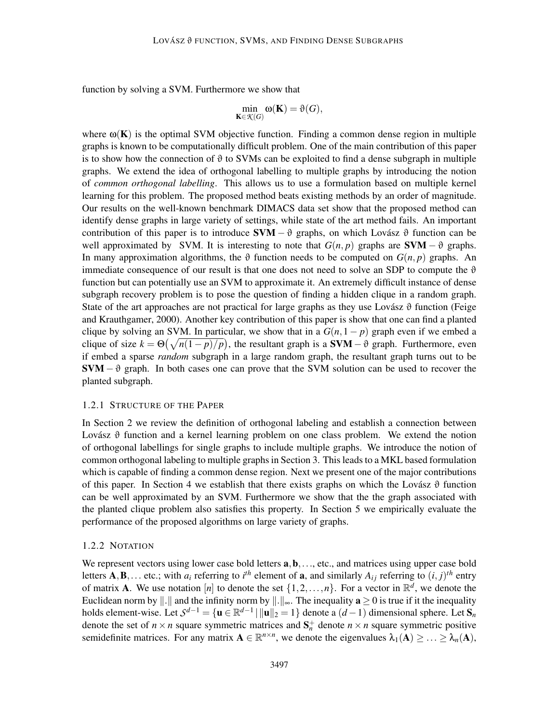function by solving a SVM. Furthermore we show that

$$
\min_{\mathbf{K}\in\mathcal{K}(G)}\omega(\mathbf{K})=\vartheta(G),
$$

where  $\omega(\mathbf{K})$  is the optimal SVM objective function. Finding a common dense region in multiple graphs is known to be computationally difficult problem. One of the main contribution of this paper is to show how the connection of  $\vartheta$  to SVMs can be exploited to find a dense subgraph in multiple graphs. We extend the idea of orthogonal labelling to multiple graphs by introducing the notion of *common orthogonal labelling*. This allows us to use a formulation based on multiple kernel learning for this problem. The proposed method beats existing methods by an order of magnitude. Our results on the well-known benchmark DIMACS data set show that the proposed method can identify dense graphs in large variety of settings, while state of the art method fails. An important contribution of this paper is to introduce  $\text{SVM} - \vartheta$  graphs, on which Lovász  $\vartheta$  function can be well approximated by SVM. It is interesting to note that  $G(n, p)$  graphs are SVM –  $\vartheta$  graphs. In many approximation algorithms, the  $\vartheta$  function needs to be computed on  $G(n, p)$  graphs. An immediate consequence of our result is that one does not need to solve an SDP to compute the  $\vartheta$ function but can potentially use an SVM to approximate it. An extremely difficult instance of dense subgraph recovery problem is to pose the question of finding a hidden clique in a random graph. State of the art approaches are not practical for large graphs as they use Lovász  $\vartheta$  function (Feige and Krauthgamer, 2000). Another key contribution of this paper is show that one can find a planted clique by solving an SVM. In particular, we show that in a  $G(n,1-p)$  graph even if we embed a clique of size  $k = \Theta(\sqrt{n(1-p)/p})$ , the resultant graph is a **SVM** –  $\vartheta$  graph. Furthermore, even if embed a sparse *random* subgraph in a large random graph, the resultant graph turns out to be  $SVM - \vartheta$  graph. In both cases one can prove that the SVM solution can be used to recover the planted subgraph.

#### 1.2.1 STRUCTURE OF THE PAPER

In Section 2 we review the definition of orthogonal labeling and establish a connection between Lovász  $\vartheta$  function and a kernel learning problem on one class problem. We extend the notion of orthogonal labellings for single graphs to include multiple graphs. We introduce the notion of common orthogonal labeling to multiple graphs in Section 3. This leads to a MKL based formulation which is capable of finding a common dense region. Next we present one of the major contributions of this paper. In Section 4 we establish that there exists graphs on which the Lovász  $\vartheta$  function can be well approximated by an SVM. Furthermore we show that the the graph associated with the planted clique problem also satisfies this property. In Section 5 we empirically evaluate the performance of the proposed algorithms on large variety of graphs.

#### 1.2.2 NOTATION

We represent vectors using lower case bold letters  $a, b, \ldots$ , etc., and matrices using upper case bold letters  $\mathbf{A}, \mathbf{B}, \ldots$  etc.; with  $a_i$  referring to  $i^{\text{th}}$  element of  $\mathbf{a}$ , and similarly  $A_{ij}$  referring to  $(i, j)^{\text{th}}$  entry of matrix **A**. We use notation [*n*] to denote the set  $\{1, 2, ..., n\}$ . For a vector in  $\mathbb{R}^d$ , we denote the Euclidean norm by  $\Vert . \Vert$  and the infinity norm by  $\Vert . \Vert_{\infty}$ . The inequality  $a \ge 0$  is true if it the inequality holds element-wise. Let  $S^{d-1} = \{ \mathbf{u} \in \mathbb{R}^{d-1} \mid ||\mathbf{u}||_2 = 1 \}$  denote a  $(d-1)$  dimensional sphere. Let  $\mathbf{S}_n$ denote the set of  $n \times n$  square symmetric matrices and  $S_n^+$  denote  $n \times n$  square symmetric positive semidefinite matrices. For any matrix  $A \in \mathbb{R}^{n \times n}$ , we denote the eigenvalues  $\lambda_1(A) \geq \ldots \geq \lambda_n(A)$ ,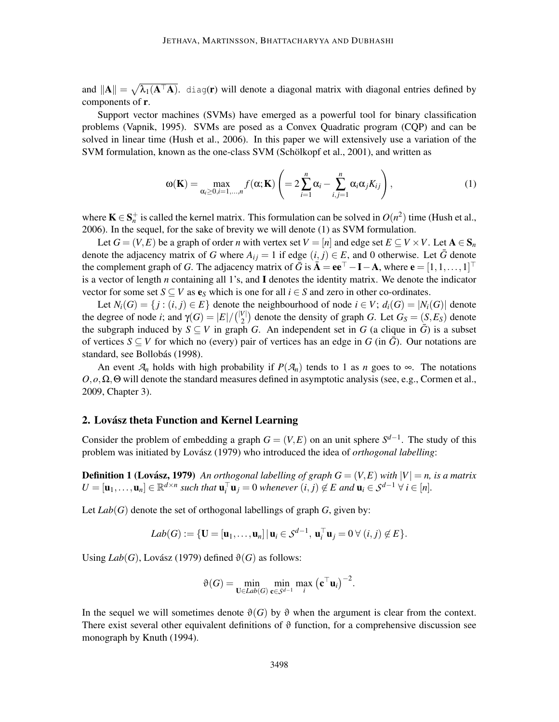and  $||A|| = \sqrt{\lambda_1(A^{\top}A)}$ . diag(r) will denote a diagonal matrix with diagonal entries defined by components of r.

Support vector machines (SVMs) have emerged as a powerful tool for binary classification problems (Vapnik, 1995). SVMs are posed as a Convex Quadratic program (CQP) and can be solved in linear time (Hush et al., 2006). In this paper we will extensively use a variation of the SVM formulation, known as the one-class SVM (Schölkopf et al., 2001), and written as

$$
\omega(\mathbf{K}) = \max_{\alpha_i \ge 0, i=1,\dots,n} f(\alpha; \mathbf{K}) \left( = 2 \sum_{i=1}^n \alpha_i - \sum_{i,j=1}^n \alpha_i \alpha_j K_{ij} \right),\tag{1}
$$

where  $\mathbf{K} \in \mathbf{S}_n^+$  is called the kernel matrix. This formulation can be solved in  $O(n^2)$  time (Hush et al., 2006). In the sequel, for the sake of brevity we will denote (1) as SVM formulation.

Let  $G = (V, E)$  be a graph of order *n* with vertex set  $V = [n]$  and edge set  $E \subseteq V \times V$ . Let  $A \in S_n$ denote the adjacency matrix of *G* where  $A_{ij} = 1$  if edge  $(i, j) \in E$ , and 0 otherwise. Let  $\bar{G}$  denote the complement graph of *G*. The adjacency matrix of  $\bar{G}$  is  $\bar{A} = ee^{\top} - I - A$ , where  $e = [1, 1, ..., 1]^{\top}$ is a vector of length *n* containing all 1's, and I denotes the identity matrix. We denote the indicator vector for some set  $S \subseteq V$  as  $e_S$  which is one for all  $i \in S$  and zero in other co-ordinates.

Let  $N_i(G) = \{j : (i, j) \in E\}$  denote the neighbourhood of node  $i \in V$ ;  $d_i(G) = |N_i(G)|$  denote the degree of node *i*; and  $\gamma(G) = |E| / {|\gamma| \choose 2}$  denote the density of graph *G*. Let  $G_S = (S, E_S)$  denote the subgraph induced by  $S \subseteq V$  in graph *G*. An independent set in *G* (a clique in  $\overline{G}$ ) is a subset of vertices  $S \subseteq V$  for which no (every) pair of vertices has an edge in *G* (in  $\overline{G}$ ). Our notations are standard, see Bollobás (1998).

An event  $A_n$  holds with high probability if  $P(A_n)$  tends to 1 as *n* goes to  $\infty$ . The notations  $O$ ,  $o$ ,  $\Omega$ ,  $\Theta$  will denote the standard measures defined in asymptotic analysis (see, e.g., Cormen et al., 2009, Chapter 3).

## 2. Lovász theta Function and Kernel Learning

Consider the problem of embedding a graph  $G = (V, E)$  on an unit sphere  $S^{d-1}$ . The study of this problem was initiated by Lovász (1979) who introduced the idea of *orthogonal labelling*:

**Definition 1 (Lovász, 1979)** An orthogonal labelling of graph  $G = (V, E)$  with  $|V| = n$ , is a matrix  $U = [\mathbf{u}_1, \dots, \mathbf{u}_n] \in \mathbb{R}^{d \times n}$  such that  $\mathbf{u}_i^\top \mathbf{u}_j = 0$  whenever  $(i, j) \notin E$  and  $\mathbf{u}_i \in S^{d-1}$   $\forall i \in [n]$ .

Let  $Lab(G)$  denote the set of orthogonal labellings of graph  $G$ , given by:

$$
Lab(G) := \{ \mathbf{U} = [\mathbf{u}_1, \dots, \mathbf{u}_n] \, | \, \mathbf{u}_i \in \mathcal{S}^{d-1}, \, \mathbf{u}_i^\top \mathbf{u}_j = 0 \, \forall \, (i,j) \notin E \}.
$$

Using  $Lab(G)$ , Lovász (1979) defined  $\vartheta(G)$  as follows:

$$
\vartheta(G) = \min_{\mathbf{U} \in \text{Lab}(G)} \min_{\mathbf{c} \in \mathcal{S}^{d-1}} \max_{i} (\mathbf{c}^{\top} \mathbf{u}_{i})^{-2}.
$$

In the sequel we will sometimes denote  $\vartheta(G)$  by  $\vartheta$  when the argument is clear from the context. There exist several other equivalent definitions of  $\vartheta$  function, for a comprehensive discussion see monograph by Knuth (1994).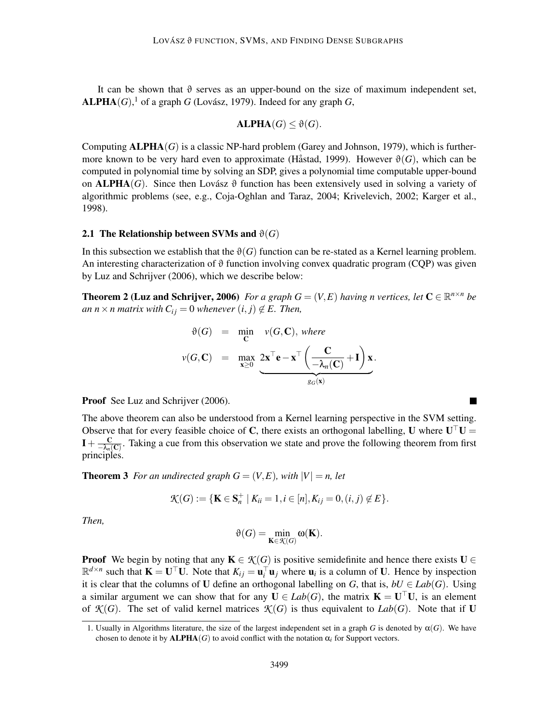It can be shown that  $\vartheta$  serves as an upper-bound on the size of maximum independent set,  $\mathbf{ALPHA}(G)$ , <sup>1</sup> of a graph *G* (Lovász, 1979). Indeed for any graph *G*,

$$
\mathbf{ALPHA}(G) \leq \vartheta(G).
$$

Computing  $\mathbf{ALPHA}(G)$  is a classic NP-hard problem (Garey and Johnson, 1979), which is furthermore known to be very hard even to approximate (Håstad, 1999). However  $\vartheta(G)$ , which can be computed in polynomial time by solving an SDP, gives a polynomial time computable upper-bound on **ALPHA**(*G*). Since then Lovász  $\vartheta$  function has been extensively used in solving a variety of algorithmic problems (see, e.g., Coja-Oghlan and Taraz, 2004; Krivelevich, 2002; Karger et al., 1998).

#### 2.1 The Relationship between SVMs and  $\vartheta(G)$

In this subsection we establish that the  $\vartheta(G)$  function can be re-stated as a Kernel learning problem. An interesting characterization of  $\vartheta$  function involving convex quadratic program (CQP) was given by Luz and Schrijver (2006), which we describe below:

**Theorem 2 (Luz and Schrijver, 2006)** For a graph  $G = (V, E)$  having n vertices, let  $\mathbf{C} \in \mathbb{R}^{n \times n}$  be *an*  $n \times n$  *matrix with*  $C_{ij} = 0$  *whenever*  $(i, j) \notin E$ *. Then,* 

$$
\vartheta(G) = \min_{\mathbf{C}} v(G, \mathbf{C}), \text{ where}
$$
\n
$$
v(G, \mathbf{C}) = \max_{\mathbf{x} \ge 0} \underbrace{2\mathbf{x}^{\top}\mathbf{e} - \mathbf{x}^{\top}\left(\frac{\mathbf{C}}{-\lambda_n(\mathbf{C})} + \mathbf{I}\right)\mathbf{x}}_{g_G(\mathbf{x})}.
$$

Proof See Luz and Schrijver (2006).

The above theorem can also be understood from a Kernel learning perspective in the SVM setting. Observe that for every feasible choice of C, there exists an orthogonal labelling, U where  $U^{\dagger}U =$  $I+\frac{C}{\sqrt{2}}$  $\frac{C}{\lambda_n(C)}$ . Taking a cue from this observation we state and prove the following theorem from first principles.

 $\blacksquare$ 

**Theorem 3** For an undirected graph  $G = (V, E)$ , with  $|V| = n$ , let

$$
\mathcal{K}(G) := \{ \mathbf{K} \in \mathbf{S}_n^+ \mid K_{ii} = 1, i \in [n], K_{ij} = 0, (i, j) \notin E \}.
$$

*Then,*

$$
\vartheta(G)=\min_{\mathbf{K}\in \mathcal{K}(G)}\omega(\mathbf{K}).
$$

**Proof** We begin by noting that any  $K \in \mathcal{K}(G)$  is positive semidefinite and hence there exists  $U \in$  $\mathbb{R}^{d \times n}$  such that  $\mathbf{K} = \mathbf{U}^\top \mathbf{U}$ . Note that  $K_{ij} = \mathbf{u}_i^\top \mathbf{u}_j$  where  $\mathbf{u}_i$  is a column of U. Hence by inspection it is clear that the columns of U define an orthogonal labelling on *G*, that is,  $bU \in Lab(G)$ . Using a similar argument we can show that for any  $U \in Lab(G)$ , the matrix  $K = U^{\dagger}U$ , is an element of  $\mathcal{K}(G)$ . The set of valid kernel matrices  $\mathcal{K}(G)$  is thus equivalent to *Lab*(*G*). Note that if U

<sup>1.</sup> Usually in Algorithms literature, the size of the largest independent set in a graph *G* is denoted by  $\alpha(G)$ . We have chosen to denote it by  $ALPHA(G)$  to avoid conflict with the notation  $\alpha_i$  for Support vectors.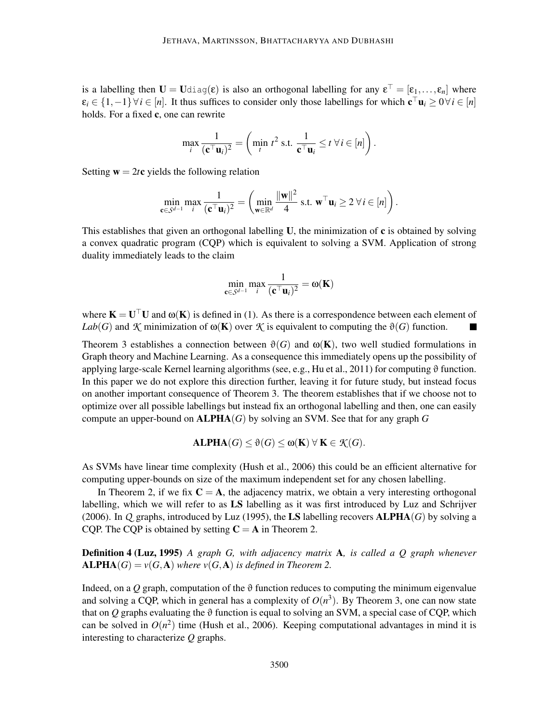is a labelling then  $U = U$ diag $(\epsilon)$  is also an orthogonal labelling for any  $\epsilon^+ = [\epsilon_1,\ldots,\epsilon_n]$  where  $\varepsilon_i \in \{1, -1\} \forall i \in [n]$ . It thus suffices to consider only those labellings for which  $\mathbf{c} \,^\top \mathbf{u}_i \geq 0 \forall i \in [n]$ holds. For a fixed c, one can rewrite

$$
\max_{i} \frac{1}{(\mathbf{c}^\top \mathbf{u}_i)^2} = \left( \min_{t} t^2 \text{ s.t. } \frac{1}{\mathbf{c}^\top \mathbf{u}_i} \le t \ \forall \, i \in [n] \right).
$$

Setting  $w = 2te$  yields the following relation

$$
\min_{\mathbf{c}\in\mathcal{S}^{d-1}}\max_{i}\frac{1}{(\mathbf{c}^\top\mathbf{u}_i)^2}=\left(\min_{\mathbf{w}\in\mathbb{R}^d}\frac{\|\mathbf{w}\|^2}{4}\text{ s.t. }\mathbf{w}^\top\mathbf{u}_i\geq 2\ \forall\,i\in[n]\right).
$$

This establishes that given an orthogonal labelling  $U$ , the minimization of  $c$  is obtained by solving a convex quadratic program (CQP) which is equivalent to solving a SVM. Application of strong duality immediately leads to the claim

$$
\min_{\mathbf{c}\in\mathcal{S}^{d-1}}\max_{i}\frac{1}{(\mathbf{c}^\top\mathbf{u}_i)^2}=\omega(\mathbf{K})
$$

where  $K = U^{\dagger} U$  and  $\omega(K)$  is defined in (1). As there is a correspondence between each element of *Lab*(*G*) and *K* minimization of  $\omega(K)$  over *K* is equivalent to computing the  $\vartheta(G)$  function.

Theorem 3 establishes a connection between  $\vartheta(G)$  and  $\omega(K)$ , two well studied formulations in Graph theory and Machine Learning. As a consequence this immediately opens up the possibility of applying large-scale Kernel learning algorithms (see, e.g., Hu et al., 2011) for computing  $\vartheta$  function. In this paper we do not explore this direction further, leaving it for future study, but instead focus on another important consequence of Theorem 3. The theorem establishes that if we choose not to optimize over all possible labellings but instead fix an orthogonal labelling and then, one can easily compute an upper-bound on ALPHA(*G*) by solving an SVM. See that for any graph *G*

$$
ALPHA(G) \leq \vartheta(G) \leq \omega(K) \ \forall \ K \in \mathcal{K}(G).
$$

As SVMs have linear time complexity (Hush et al., 2006) this could be an efficient alternative for computing upper-bounds on size of the maximum independent set for any chosen labelling.

In Theorem 2, if we fix  $C = A$ , the adjacency matrix, we obtain a very interesting orthogonal labelling, which we will refer to as LS labelling as it was first introduced by Luz and Schrijver (2006). In *Q* graphs, introduced by Luz (1995), the LS labelling recovers  $ALPHA(G)$  by solving a CQP. The CQP is obtained by setting  $C = A$  in Theorem 2.

Definition 4 (Luz, 1995) *A graph G, with adjacency matrix* A*, is called a Q graph whenever*  $ALPHA(G) = v(G, A)$  *where*  $v(G, A)$  *is defined in Theorem 2.* 

Indeed, on a *Q* graph, computation of the  $\vartheta$  function reduces to computing the minimum eigenvalue and solving a CQP, which in general has a complexity of  $O(n^3)$ . By Theorem 3, one can now state that on *Q* graphs evaluating the  $\vartheta$  function is equal to solving an SVM, a special case of CQP, which can be solved in  $O(n^2)$  time (Hush et al., 2006). Keeping computational advantages in mind it is interesting to characterize *Q* graphs.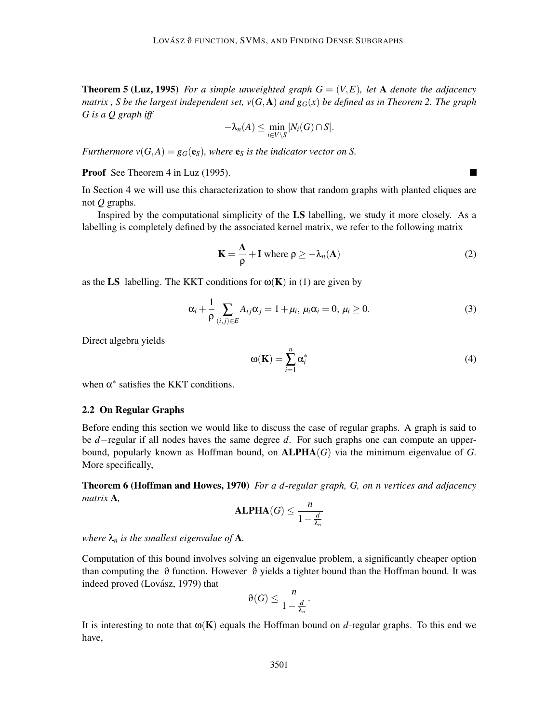**Theorem 5 (Luz, 1995)** *For a simple unweighted graph*  $G = (V, E)$ *, let* A *denote the adjacency matrix, S be the largest independent set,*  $v(G, A)$  *and*  $g_G(x)$  *be defined as in Theorem 2. The graph G is a Q graph iff*

$$
-\lambda_n(A) \leq \min_{i \in V \setminus S} |N_i(G) \cap S|.
$$

*Furthermore*  $v(G, A) = g_G(e_S)$ *, where*  $e_S$  *is the indicator vector on S.* 

Proof See Theorem 4 in Luz (1995).

In Section 4 we will use this characterization to show that random graphs with planted cliques are not *Q* graphs.

Inspired by the computational simplicity of the LS labelling, we study it more closely. As a labelling is completely defined by the associated kernel matrix, we refer to the following matrix

$$
\mathbf{K} = \frac{\mathbf{A}}{\rho} + \mathbf{I} \text{ where } \rho \ge -\lambda_n(\mathbf{A}) \tag{2}
$$

as the LS labelling. The KKT conditions for  $\omega(K)$  in (1) are given by

$$
\alpha_i + \frac{1}{\rho} \sum_{(i,j)\in E} A_{ij}\alpha_j = 1 + \mu_i, \ \mu_i \alpha_i = 0, \ \mu_i \ge 0. \tag{3}
$$

Direct algebra yields

$$
\omega(\mathbf{K}) = \sum_{i=1}^{n} \alpha_i^* \tag{4}
$$

when  $\alpha^*$  satisfies the KKT conditions.

## 2.2 On Regular Graphs

Before ending this section we would like to discuss the case of regular graphs. A graph is said to be *d*−regular if all nodes haves the same degree *d*. For such graphs one can compute an upperbound, popularly known as Hoffman bound, on  $\text{ALPHA}(G)$  via the minimum eigenvalue of G. More specifically,

Theorem 6 (Hoffman and Howes, 1970) *For a d-regular graph, G, on n vertices and adjacency matrix* A*,*

ALPHA(*G*) 
$$
\leq \frac{n}{1 - \frac{d}{\lambda_n}}
$$

*where*  $\lambda_n$  *is the smallest eigenvalue of* **A**.

Computation of this bound involves solving an eigenvalue problem, a significantly cheaper option than computing the  $\vartheta$  function. However  $\vartheta$  yields a tighter bound than the Hoffman bound. It was indeed proved (Lovász, 1979) that

$$
\vartheta(G) \le \frac{n}{1 - \frac{d}{\lambda_n}}.
$$

It is interesting to note that  $\omega(K)$  equals the Hoffman bound on *d*-regular graphs. To this end we have,

 $\blacksquare$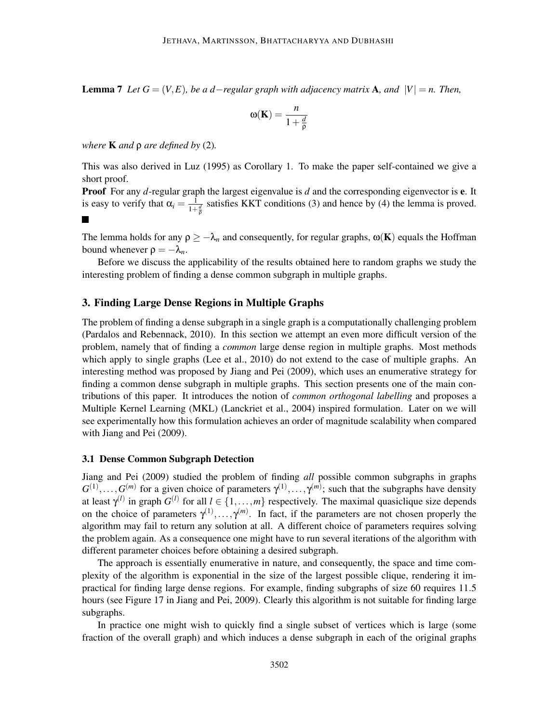**Lemma** 7 *Let*  $G = (V, E)$ *, be a d*−*regular graph with adjacency matrix* **A***, and*  $|V| = n$ *. Then,* 

$$
\omega(\mathbf{K}) = \frac{n}{1 + \frac{d}{\rho}}
$$

*where* K *and* ρ *are defined by* (2)*.*

This was also derived in Luz (1995) as Corollary 1. To make the paper self-contained we give a short proof.

Proof For any *d*-regular graph the largest eigenvalue is *d* and the corresponding eigenvector is e. It is easy to verify that  $\alpha_i = \frac{1}{1+r}$  $\frac{1}{1+\frac{d}{\rho}}$  satisfies KKT conditions (3) and hence by (4) the lemma is proved.

The lemma holds for any  $\rho \geq -\lambda_n$  and consequently, for regular graphs,  $\omega(\mathbf{K})$  equals the Hoffman bound whenever  $\rho = -\lambda_n$ .

Before we discuss the applicability of the results obtained here to random graphs we study the interesting problem of finding a dense common subgraph in multiple graphs.

## 3. Finding Large Dense Regions in Multiple Graphs

The problem of finding a dense subgraph in a single graph is a computationally challenging problem (Pardalos and Rebennack, 2010). In this section we attempt an even more difficult version of the problem, namely that of finding a *common* large dense region in multiple graphs. Most methods which apply to single graphs (Lee et al., 2010) do not extend to the case of multiple graphs. An interesting method was proposed by Jiang and Pei (2009), which uses an enumerative strategy for finding a common dense subgraph in multiple graphs. This section presents one of the main contributions of this paper. It introduces the notion of *common orthogonal labelling* and proposes a Multiple Kernel Learning (MKL) (Lanckriet et al., 2004) inspired formulation. Later on we will see experimentally how this formulation achieves an order of magnitude scalability when compared with Jiang and Pei (2009).

#### 3.1 Dense Common Subgraph Detection

Jiang and Pei (2009) studied the problem of finding *all* possible common subgraphs in graphs  $G^{(1)},...,G^{(m)}$  for a given choice of parameters  $\gamma^{(1)},...,\gamma^{(m)}$ ; such that the subgraphs have density at least  $\gamma^{(l)}$  in graph  $G^{(l)}$  for all  $l \in \{1, ..., m\}$  respectively. The maximal quasiclique size depends on the choice of parameters  $\gamma^{(1)}, \ldots, \gamma^{(m)}$ . In fact, if the parameters are not chosen properly the algorithm may fail to return any solution at all. A different choice of parameters requires solving the problem again. As a consequence one might have to run several iterations of the algorithm with different parameter choices before obtaining a desired subgraph.

The approach is essentially enumerative in nature, and consequently, the space and time complexity of the algorithm is exponential in the size of the largest possible clique, rendering it impractical for finding large dense regions. For example, finding subgraphs of size 60 requires 11.5 hours (see Figure 17 in Jiang and Pei, 2009). Clearly this algorithm is not suitable for finding large subgraphs.

In practice one might wish to quickly find a single subset of vertices which is large (some fraction of the overall graph) and which induces a dense subgraph in each of the original graphs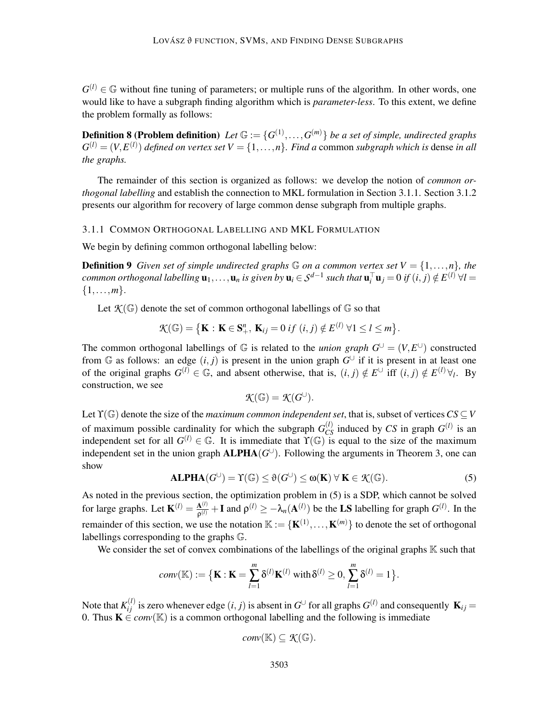$G^{(l)} \in \mathbb{G}$  without fine tuning of parameters; or multiple runs of the algorithm. In other words, one would like to have a subgraph finding algorithm which is *parameter-less*. To this extent, we define the problem formally as follows:

**Definition 8 (Problem definition)** Let  $\mathbb{G} := \{G^{(1)}, \ldots, G^{(m)}\}$  be a set of simple, undirected graphs  $G^{(l)} = (V, E^{(l)})$  *defined on vertex set*  $V = \{1, \ldots, n\}$ *. Find a* common *subgraph which is* dense *in all the graphs.*

The remainder of this section is organized as follows: we develop the notion of *common orthogonal labelling* and establish the connection to MKL formulation in Section 3.1.1. Section 3.1.2 presents our algorithm for recovery of large common dense subgraph from multiple graphs.

#### 3.1.1 COMMON ORTHOGONAL LABELLING AND MKL FORMULATION

We begin by defining common orthogonal labelling below:

**Definition 9** *Given set of simple undirected graphs*  $\mathbb G$  *on a common vertex set*  $V = \{1, \ldots, n\}$ *, the common orthogonal labelling*  $\mathbf{u}_1, \ldots, \mathbf{u}_n$  *is given by*  $\mathbf{u}_i \in S^{d-1}$  such that  $\mathbf{u}_i^{\top} \mathbf{u}_j = 0$  *if*  $(i, j) \notin E^{(l)}$   $\forall l = 1$  $\{1,\ldots,m\}.$ 

Let  $\mathcal{K}(\mathbb{G})$  denote the set of common orthogonal labellings of  $\mathbb{G}$  so that

$$
\mathcal{K}(\mathbb{G})=\big\{\mathbf{K}:\mathbf{K}\in\mathbf{S}_{+}^{n},\,\mathbf{K}_{ij}=0\;if\;(i,j)\notin E^{(l)}\;\forall 1\leq l\leq m\big\}.
$$

The common orthogonal labellings of  $\mathbb{G}$  is related to the *union graph*  $G^{\cup} = (V, E^{\cup})$  constructed from  $\mathbb G$  as follows: an edge  $(i, j)$  is present in the union graph  $G^{\cup}$  if it is present in at least one of the original graphs  $G^{(l)} \in \mathbb{G}$ , and absent otherwise, that is,  $(i, j) \notin E^{(\mathcal{V})}$  iff  $(i, j) \notin E^{(l)} \forall_l$ . By construction, we see

$$
\mathcal{K}(\mathbb{G})=\mathcal{K}(G^{\cup}).
$$

Let  $\Upsilon(\mathbb{G})$  denote the size of the *maximum common independent set*, that is, subset of vertices  $CS \subseteq V$ of maximum possible cardinality for which the subgraph  $G_{CS}^{(l)}$  induced by *CS* in graph  $G^{(l)}$  is an independent set for all  $G^{(l)} \in \mathbb{G}$ . It is immediate that  $\Upsilon(\mathbb{G})$  is equal to the size of the maximum independent set in the union graph  $\text{ALPHA}(G^{\cup})$ . Following the arguments in Theorem 3, one can show

$$
ALPHA(G^{\cup}) = \Upsilon(\mathbb{G}) \le \vartheta(G^{\cup}) \le \omega(K) \ \forall \ K \in \mathcal{K}(\mathbb{G}).
$$
\n(5)

As noted in the previous section, the optimization problem in (5) is a SDP, which cannot be solved for large graphs. Let  $\mathbf{K}^{(l)} = \frac{\mathbf{A}^{(l)}}{\mathbf{A}^{(l)}}$  $\frac{A^{(l)}}{\rho^{(l)}} + I$  and  $\rho^{(l)} \ge -\lambda_n(A^{(l)})$  be the LS labelling for graph  $G^{(l)}$ . In the remainder of this section, we use the notation  $\mathbb{K} := \{K^{(1)}, \ldots, K^{(m)}\}$  to denote the set of orthogonal labellings corresponding to the graphs G.

We consider the set of convex combinations of the labellings of the original graphs  $\mathbb K$  such that

$$
conv(\mathbb{K}) := \{ \mathbf{K} : \mathbf{K} = \sum_{l=1}^{m} \delta^{(l)} \mathbf{K}^{(l)} \text{ with } \delta^{(l)} \geq 0, \sum_{l=1}^{m} \delta^{(l)} = 1 \}.
$$

Note that  $K_{ij}^{(l)}$  is zero whenever edge  $(i, j)$  is absent in  $G^{\cup}$  for all graphs  $G^{(l)}$  and consequently  $\mathbf{K}_{ij} =$ 0. Thus  $\mathbf{K} \in conv(\mathbb{K})$  is a common orthogonal labelling and the following is immediate

$$
conv(\mathbb{K}) \subseteq \mathcal{K}(\mathbb{G}).
$$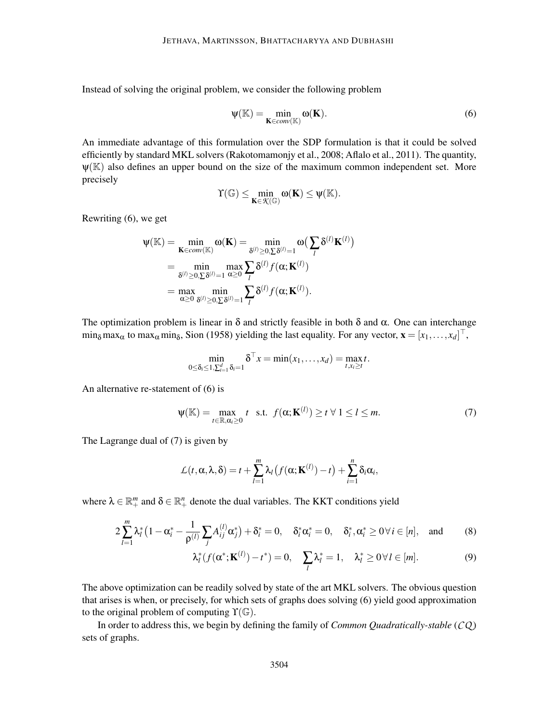Instead of solving the original problem, we consider the following problem

$$
\psi(\mathbb{K}) = \min_{\mathbf{K} \in conv(\mathbb{K})} \omega(\mathbf{K}).
$$
\n(6)

An immediate advantage of this formulation over the SDP formulation is that it could be solved efficiently by standard MKL solvers (Rakotomamonjy et al., 2008; Aflalo et al., 2011). The quantity,  $\Psi(\mathbb{K})$  also defines an upper bound on the size of the maximum common independent set. More precisely

$$
\Upsilon(\mathbb{G})\leq \min_{K\in\mathcal{K}(\mathbb{G})}\omega(K)\leq \psi(\mathbb{K}).
$$

Rewriting (6), we get

$$
\Psi(\mathbb{K}) = \min_{\mathbf{K} \in conv(\mathbb{K})} \omega(\mathbf{K}) = \min_{\delta^{(l)} \ge 0, \sum \delta^{(l)} = 1} \omega\left(\sum_{l} \delta^{(l)} \mathbf{K}^{(l)}\right)
$$
  
= 
$$
\min_{\delta^{(l)} \ge 0, \sum \delta^{(l)} = 1} \max_{\alpha \ge 0} \sum_{l} \delta^{(l)} f(\alpha; \mathbf{K}^{(l)})
$$
  
= 
$$
\max_{\alpha \ge 0} \min_{\delta^{(l)} \ge 0, \sum \delta^{(l)} = 1} \sum_{l} \delta^{(l)} f(\alpha; \mathbf{K}^{(l)}).
$$

The optimization problem is linear in  $\delta$  and strictly feasible in both  $\delta$  and  $\alpha$ . One can interchange  $\min_{\delta} \max_{\alpha}$  to  $\max_{\alpha} \min_{\delta}$ , Sion (1958) yielding the last equality. For any vector,  $\mathbf{x} = [x_1, \dots, x_d]^{\top}$ ,

$$
\min_{0 \leq \delta_i \leq 1, \sum_{i=1}^d \delta_i = 1} \delta^\top x = \min(x_1, \dots, x_d) = \max_{t, x_i \geq t} t.
$$

An alternative re-statement of (6) is

$$
\Psi(\mathbb{K}) = \max_{t \in \mathbb{R}, \alpha_i \ge 0} t \quad \text{s.t.} \quad f(\alpha; \mathbf{K}^{(l)}) \ge t \ \forall \ 1 \le l \le m. \tag{7}
$$

The Lagrange dual of (7) is given by

$$
\mathcal{L}(t,\alpha,\lambda,\delta)=t+\sum_{l=1}^m\lambda_l\big(f(\alpha;\mathbf{K}^{(l)})-t\big)+\sum_{i=1}^n\delta_i\alpha_i,
$$

where  $\lambda \in \mathbb{R}^m_+$  and  $\delta \in \mathbb{R}^n_+$  denote the dual variables. The KKT conditions yield

$$
2\sum_{l=1}^{m} \lambda_l^* \left(1 - \alpha_i^* - \frac{1}{\rho^{(l)}} \sum_j A_{ij}^{(l)} \alpha_j^* \right) + \delta_i^* = 0, \quad \delta_i^* \alpha_i^* = 0, \quad \delta_i^*, \alpha_i^* \ge 0 \ \forall i \in [n], \quad \text{and} \tag{8}
$$

$$
\lambda_l^*(f(\alpha^*; \mathbf{K}^{(l)}) - t^*) = 0, \quad \sum_l \lambda_l^* = 1, \quad \lambda_l^* \ge 0 \,\forall \, l \in [m]. \tag{9}
$$

The above optimization can be readily solved by state of the art MKL solvers. The obvious question that arises is when, or precisely, for which sets of graphs does solving (6) yield good approximation to the original problem of computing  $\Upsilon(\mathbb{G})$ .

In order to address this, we begin by defining the family of *Common Quadratically-stable* (*CQ* ) sets of graphs.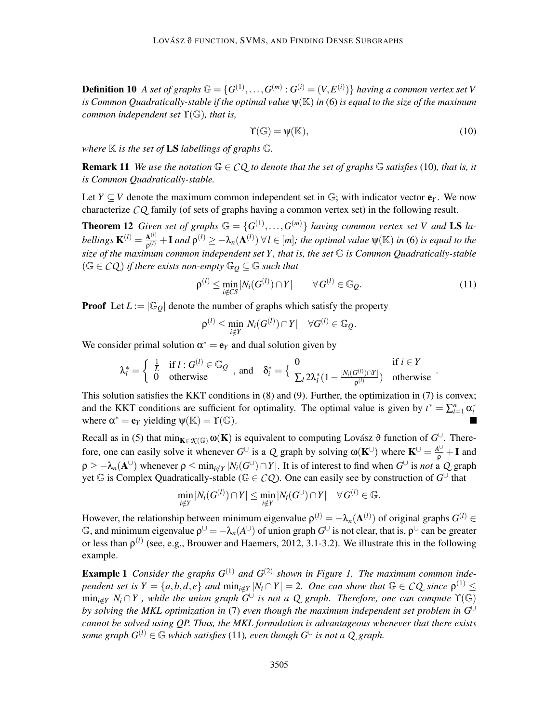**Definition 10** A set of graphs  $\mathbb{G} = \{G^{(1)}, \ldots, G^{(m)} : G^{(i)} = (V, E^{(i)})\}$  having a common vertex set V *is Common Quadratically-stable if the optimal value* ψ(K) *in* (6) *is equal to the size of the maximum common independent set* ϒ(G)*, that is,*

$$
\Upsilon(\mathbb{G}) = \psi(\mathbb{K}),\tag{10}
$$

*where*  $K$  *is the set of* **LS** *labellings of graphs*  $G$ *.* 

**Remark 11** *We use the notation*  $\mathbb{G} \in CQ$  *to denote that the set of graphs*  $\mathbb{G}$  *satisfies* (10)*, that is, it is Common Quadratically-stable.*

Let  $Y \subseteq V$  denote the maximum common independent set in  $\mathbb{G}$ ; with indicator vector  $\mathbf{e}_Y$ . We now characterize *CQ* family (of sets of graphs having a common vertex set) in the following result.

**Theorem 12** *Given set of graphs*  $\mathbb{G} = \{G^{(1)},...,G^{(m)}\}$  *having common vertex set V and* LS *labellings*  $\mathbf{K}^{(l)} = \frac{\mathbf{A}^{(l)}}{2^{(l)}}$  $\frac{A^{(l)}}{\rho^{(l)}}+I$  and  $\rho^{(l)}\geq-\lambda_n(A^{(l)})$   $\forall l\in[m];$  the optimal value  $\psi(\mathbb{K})$  in (6) is equal to the *size of the maximum common independent set Y , that is, the set* G *is Common Quadratically-stable*  $(G \in CQ)$  *if there exists non-empty*  $\mathbb{G}_Q \subseteq \mathbb{G}$  *such that* 

$$
\rho^{(l)} \le \min_{i \notin CS} |N_i(G^{(l)}) \cap Y| \qquad \forall G^{(l)} \in \mathbb{G}_Q. \tag{11}
$$

**Proof** Let  $L := |\mathbb{G}_Q|$  denote the number of graphs which satisfy the property

$$
\rho^{(l)} \leq \min_{i \notin Y} |N_i(G^{(l)}) \cap Y| \quad \forall G^{(l)} \in \mathbb{G}_Q.
$$

We consider primal solution  $\alpha^* = e_Y$  and dual solution given by

$$
\lambda_l^* = \left\{ \begin{array}{ll} \frac{1}{L} & \text{if } l : G^{(l)} \in \mathbb{G}_{\mathcal{Q}} \\ 0 & \text{otherwise} \end{array} \right., \text{ and } \delta_i^* = \left\{ \begin{array}{ll} 0 & \text{if } i \in Y \\ \sum_l 2\lambda_l^* (1 - \frac{|N_i(G^{(l)}) \cap Y|}{\rho^{(l)}}) & \text{otherwise} \end{array} \right.
$$

This solution satisfies the KKT conditions in (8) and (9). Further, the optimization in (7) is convex; and the KKT conditions are sufficient for optimality. The optimal value is given by  $t^* = \sum_{i=1}^n \alpha_i^*$ where  $\alpha^* = \mathbf{e}_Y$  yielding  $\psi(\mathbb{K}) = \Upsilon(\mathbb{G})$ .

Recall as in (5) that  $\min_{\mathbf{K} \in \mathcal{K}(\mathbb{G})} \omega(\mathbf{K})$  is equivalent to computing Lovász  $\vartheta$  function of  $G^{\cup}$ . Therefore, one can easily solve it whenever  $G^{\cup}$  is a *Q* graph by solving  $\omega(K^{\cup})$  where  $K^{\cup} = \frac{A^{\cup}}{\rho} + I$  and  $\rho \ge -\lambda_n(\mathbf{A}^{\cup})$  whenever  $\rho \le \min_{i \notin Y} |N_i(G^{\cup}) \cap Y|$ . It is of interest to find when  $G^{\cup}$  is *not* a *Q* graph yet  $\mathbb G$  is Complex Quadratically-stable ( $\mathbb G \in \mathcal{CQ}$ ). One can easily see by construction of  $G^{\cup}$  that

$$
\min_{i \notin Y} |N_i(G^{(l)}) \cap Y| \leq \min_{i \notin Y} |N_i(G^{\cup}) \cap Y| \quad \forall G^{(l)} \in \mathbb{G}.
$$

However, the relationship between minimum eigenvalue  $\rho^{(l)} = -\lambda_n(\mathbf{A}^{(l)})$  of original graphs  $G^{(l)} \in$  $\mathbb{G}$ , and minimum eigenvalue  $\rho^{\cup} = -\lambda_n(A^{\cup})$  of union graph  $G^{\cup}$  is not clear, that is,  $\rho^{\cup}$  can be greater or less than  $\rho^{(l)}$  (see, e.g., Brouwer and Haemers, 2012, 3.1-3.2). We illustrate this in the following example.

**Example 1** Consider the graphs  $G^{(1)}$  and  $G^{(2)}$  shown in Figure 1. The maximum common inde*pendent set is*  $Y = \{a,b,d,e\}$  *and*  $\min_{i \notin Y} |N_i \cap Y| = 2$ *. One can show that*  $\mathbb{G} \in \mathcal{CQ}$  *since*  $\rho^{(1)} \leq$  $\min_{i \notin Y} |N_i \cap Y|$ , while the union graph  $G^{\cup}$  is not a Q graph. Therefore, one can compute  $\Upsilon(\mathbb{G})$ *by solving the MKL optimization in* (7) *even though the maximum independent set problem in G*∪ *cannot be solved using QP. Thus, the MKL formulation is advantageous whenever that there exists some graph*  $G^{(l)} \in \mathbb{G}$  *which satisfies* (11)*, even though*  $G^{\cup}$  *is not a Q graph.*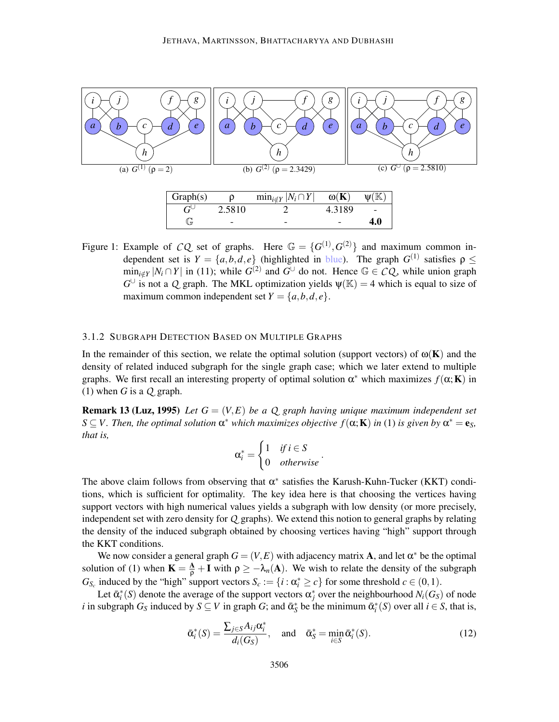

Figure 1: Example of *CQ* set of graphs. Here  $\mathbb{G} = \{G^{(1)}, G^{(2)}\}$  and maximum common independent set is  $Y = \{a, b, d, e\}$  (highlighted in blue). The graph  $G^{(1)}$  satisfies  $\rho \leq$  $\min_{i \notin Y} |N_i \cap Y|$  in (11); while  $G^{(2)}$  and  $G^{\cup}$  do not. Hence  $\mathbb{G} \in \mathcal{CQ}$ , while union graph  $G^{\cup}$  is not a *Q* graph. The MKL optimization yields  $\psi(\mathbb{K}) = 4$  which is equal to size of maximum common independent set  $Y = \{a, b, d, e\}.$ 

#### 3.1.2 SUBGRAPH DETECTION BASED ON MULTIPLE GRAPHS

In the remainder of this section, we relate the optimal solution (support vectors) of  $\omega(\mathbf{K})$  and the density of related induced subgraph for the single graph case; which we later extend to multiple graphs. We first recall an interesting property of optimal solution  $\alpha^*$  which maximizes  $f(\alpha; K)$  in (1) when  $G$  is a  $Q$  graph.

**Remark 13 (Luz, 1995)** Let  $G = (V, E)$  be a Q graph having unique maximum independent set  $S \subseteq V$ . Then, the optimal solution  $\alpha^*$  which maximizes objective  $f(\alpha; K)$  in (1) is given by  $\alpha^* = e_S$ , *that is,*

$$
\alpha_i^* = \begin{cases} 1 & \text{if } i \in S \\ 0 & \text{otherwise} \end{cases}.
$$

The above claim follows from observing that  $\alpha^*$  satisfies the Karush-Kuhn-Tucker (KKT) conditions, which is sufficient for optimality. The key idea here is that choosing the vertices having support vectors with high numerical values yields a subgraph with low density (or more precisely, independent set with zero density for *Q* graphs). We extend this notion to general graphs by relating the density of the induced subgraph obtained by choosing vertices having "high" support through the KKT conditions.

We now consider a general graph  $G = (V, E)$  with adjacency matrix **A**, and let  $\alpha^*$  be the optimal solution of (1) when  $\mathbf{K} = \frac{\mathbf{A}}{\rho} + \mathbf{I}$  with  $\rho \geq -\lambda_n(\mathbf{A})$ . We wish to relate the density of the subgraph *G*<sub>*Sc*</sub> induced by the "high" support vectors  $S_c := \{i : \alpha_i^* \ge c\}$  for some threshold  $c \in (0,1)$ .

Let  $\bar{\alpha}_i^*(S)$  denote the average of the support vectors  $\alpha_j^*$  over the neighbourhood  $N_i(G_S)$  of node *i* in subgraph  $G_S$  induced by  $S \subseteq V$  in graph  $G$ ; and  $\bar{\alpha}_S^*$  be the minimum  $\bar{\alpha}_i^*(S)$  over all  $i \in S$ , that is,

$$
\bar{\alpha}_i^*(S) = \frac{\sum_{j \in S} A_{ij} \alpha_i^*}{d_i(G_S)}, \quad \text{and} \quad \bar{\alpha}_S^* = \min_{i \in S} \bar{\alpha}_i^*(S). \tag{12}
$$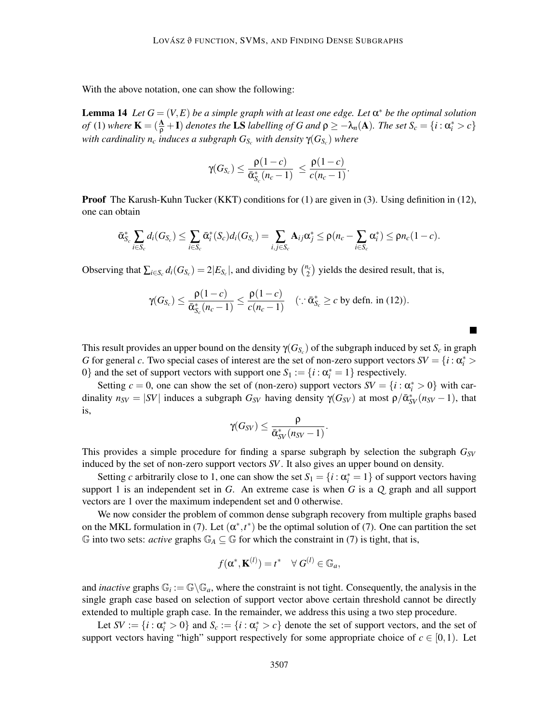With the above notation, one can show the following:

**Lemma 14** Let  $G = (V, E)$  be a simple graph with at least one edge. Let  $\alpha^*$  be the optimal solution *of* (1) where  $\mathbf{K} = (\frac{\mathbf{A}}{\rho} + \mathbf{I})$  *denotes the* LS *labelling of* G and  $\rho \geq -\lambda_n(\mathbf{A})$ *. The set*  $S_c = \{i : \alpha_i^* > c\}$ *with cardinality n<sup>c</sup> induces a subgraph GS<sup>c</sup> with density* γ(*GS<sup>c</sup>* ) *where*

$$
\gamma(G_{S_c}) \leq \frac{\rho(1-c)}{\bar{\alpha}_{S_c}^*(n_c-1)} \leq \frac{\rho(1-c)}{c(n_c-1)}.
$$

Proof The Karush-Kuhn Tucker (KKT) conditions for (1) are given in (3). Using definition in (12), one can obtain

$$
\bar{\alpha}_{S_c}^* \sum_{i \in S_c} d_i(G_{S_c}) \leq \sum_{i \in S_c} \bar{\alpha}_i^*(S_c) d_i(G_{S_c}) = \sum_{i,j \in S_c} \mathbf{A}_{ij} \alpha_j^* \leq \rho(n_c - \sum_{i \in S_c} \alpha_i^*) \leq \rho n_c(1-c).
$$

Observing that  $\sum_{i \in S_c} d_i(G_{S_c}) = 2|E_{S_c}|$ , and dividing by  $\binom{n_c}{2}$  yields the desired result, that is,

$$
\gamma(G_{S_c}) \leq \frac{\rho(1-c)}{\bar{\alpha}_{S_c}^*(n_c-1)} \leq \frac{\rho(1-c)}{c(n_c-1)} \quad (\because \bar{\alpha}_{S_c}^* \geq c \text{ by defn. in (12)).}
$$

This result provides an upper bound on the density  $\gamma(G_{S_c})$  of the subgraph induced by set  $S_c$  in graph *G* for general *c*. Two special cases of interest are the set of non-zero support vectors  $SV = \{i : \alpha_i^* > i\}$ 0} and the set of support vectors with support one  $S_1 := \{i : \alpha_i^* = 1\}$  respectively.

 $\blacksquare$ 

Setting  $c = 0$ , one can show the set of (non-zero) support vectors  $SV = \{i : \alpha_i^* > 0\}$  with cardinality  $n_{SV} = |SV|$  induces a subgraph  $G_{SV}$  having density  $\gamma(G_{SV})$  at most  $\rho/\bar{\alpha}_{SV}^*(n_{SV}-1)$ , that is,

$$
\gamma(G_{SV}) \leq \frac{\rho}{\bar{\alpha}_{SV}^*(n_{SV}-1)}.
$$

This provides a simple procedure for finding a sparse subgraph by selection the subgraph *GSV* induced by the set of non-zero support vectors *SV*. It also gives an upper bound on density.

Setting *c* arbitrarily close to 1, one can show the set  $S_1 = \{i : \alpha_i^* = 1\}$  of support vectors having support 1 is an independent set in *G*. An extreme case is when *G* is a *Q* graph and all support vectors are 1 over the maximum independent set and 0 otherwise.

We now consider the problem of common dense subgraph recovery from multiple graphs based on the MKL formulation in (7). Let  $(\alpha^*, t^*)$  be the optimal solution of (7). One can partition the set G into two sets: *active* graphs  $\mathbb{G}_A \subseteq \mathbb{G}$  for which the constraint in (7) is tight, that is,

$$
f(\mathbf{\alpha}^*, \mathbf{K}^{(l)}) = t^* \quad \forall \ G^{(l)} \in \mathbb{G}_a,
$$

and *inactive* graphs  $\mathbb{G}_i := \mathbb{G} \backslash \mathbb{G}_a$ , where the constraint is not tight. Consequently, the analysis in the single graph case based on selection of support vector above certain threshold cannot be directly extended to multiple graph case. In the remainder, we address this using a two step procedure.

Let  $SV := \{i : \alpha_i^* > 0\}$  and  $S_c := \{i : \alpha_i^* > c\}$  denote the set of support vectors, and the set of support vectors having "high" support respectively for some appropriate choice of  $c \in [0,1)$ . Let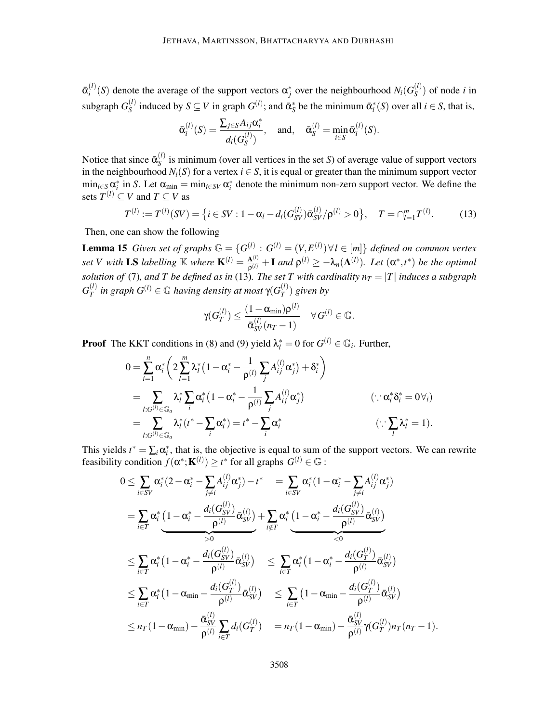$\bar{\bm{\alpha}}_i^{(l)}$  $S_i^{(l)}(S)$  denote the average of the support vectors  $\alpha_j^*$  over the neighbourhood  $N_i(G_S^{(l)})$  $S^{(i)}$  of node *i* in subgraph  $G_S^{(l)}$ *S*<sup>(*l*)</sup>) induced by  $S \subseteq V$  in graph  $G^{(l)}$ ; and  $\bar{\alpha}_S^*$  be the minimum  $\bar{\alpha}_i^*(S)$  over all  $i \in S$ , that is,

$$
\bar{\alpha}_i^{(l)}(S) = \frac{\sum_{j \in S} A_{ij} \alpha_i^*}{d_i(G_S^{(l)})}, \quad \text{and}, \quad \bar{\alpha}_S^{(l)} = \min_{i \in S} \bar{\alpha}_i^{(l)}(S).
$$

Notice that since  $\bar{\alpha}_S^{(l)}$  $S<sup>(1)</sup>$  is minimum (over all vertices in the set *S*) of average value of support vectors in the neighbourhood  $N_i(S)$  for a vertex  $i \in S$ , it is equal or greater than the minimum support vector  $\min_{i \in S} \alpha_i^*$  in *S*. Let  $\alpha_{\min} = \min_{i \in SV} \alpha_i^*$  denote the minimum non-zero support vector. We define the sets  $T^{(l)} \subseteq V$  and  $T \subseteq V$  as

$$
T^{(l)} := T^{(l)}(SV) = \left\{ i \in SV : 1 - \alpha_l - d_i(G_{SV}^{(l)}) \bar{\alpha}_{SV}^{(l)} / \rho^{(l)} > 0 \right\}, \quad T = \cap_{l=1}^m T^{(l)}.
$$
 (13)

Then, one can show the following

**Lemma 15** *Given set of graphs*  $\mathbb{G} = \{G^{(l)}: G^{(l)} = (V, E^{(l)}) \forall l \in [m]\}$  *defined on common vertex set V with* LS *labelling*  $\mathbb{K}$  *where*  $\mathbf{K}^{(l)} = \frac{\mathbf{A}^{(l)}}{2^{(l)}}$  $\frac{A^{(l)}}{\rho^{(l)}} + I$  and  $\rho^{(l)} \geq -\lambda_n(A^{(l)})$ . Let  $(\alpha^*, t^*)$  be the optimal *solution of* (7), and T be defined as in (13). The set T with cardinality  $n_T = |T|$  induces a subgraph  $G_T^{(l)}$  $T_T^{(l)}$  in graph  $G^{(l)} \in \mathbb{G}$  having density at most  $\gamma(G_T^{(l)})$  $T^{(l)}$ ) given by

$$
\gamma(G_T^{(l)}) \leq \frac{(1-\alpha_{\min})\rho^{(l)}}{\bar{\alpha}_{SV}^{(l)}(n_T-1)} \quad \forall G^{(l)} \in \mathbb{G}.
$$

**Proof** The KKT conditions in (8) and (9) yield  $\lambda_i^* = 0$  for  $G^{(l)} \in \mathbb{G}_i$ . Further,

$$
0 = \sum_{i=1}^{n} \alpha_i^* \left( 2 \sum_{l=1}^{m} \lambda_l^* \left( 1 - \alpha_i^* - \frac{1}{\rho^{(l)}} \sum_j A_{ij}^{(l)} \alpha_j^* \right) + \delta_i^* \right)
$$
  
\n
$$
= \sum_{l:G^{(l)} \in \mathbb{G}_a} \lambda_l^* \sum_i \alpha_i^* \left( 1 - \alpha_i^* - \frac{1}{\rho^{(l)}} \sum_j A_{ij}^{(l)} \alpha_j^* \right)
$$
  
\n
$$
= \sum_{l:G^{(l)} \in \mathbb{G}_a} \lambda_l^* \left( t^* - \sum_i \alpha_i^* \right) = t^* - \sum_i \alpha_i^*
$$
  
\n
$$
\left( \because \sum_l \lambda_l^* = 1 \right).
$$

This yields  $t^* = \sum_i \alpha_i^*$ , that is, the objective is equal to sum of the support vectors. We can rewrite feasibility condition  $f(\alpha^*; \mathbf{K}^{(l)}) \ge t^*$  for all graphs  $G^{(l)} \in \mathbb{G}$ :

$$
0 \leq \sum_{i \in SV} \alpha_i^*(2 - \alpha_i^* - \sum_{j \neq i} A_{ij}^{(l)} \alpha_j^*) - t^* = \sum_{i \in SV} \alpha_i^*(1 - \alpha_i^* - \sum_{j \neq i} A_{ij}^{(l)} \alpha_j^*)
$$
  
\n
$$
= \sum_{i \in T} \alpha_i^* \underbrace{(1 - \alpha_i^* - \frac{d_i(G_{SV}^{(l)})}{\rho^{(l)}} \overline{\alpha}_{SV}^{(l)})} + \sum_{i \notin T} \alpha_i^* \underbrace{(1 - \alpha_i^* - \frac{d_i(G_{SV}^{(l)})}{\rho^{(l)}} \overline{\alpha}_{SV}^{(l)})}
$$
  
\n
$$
\leq \sum_{i \in T} \alpha_i^*(1 - \alpha_i^* - \frac{d_i(G_{SV}^{(l)})}{\rho^{(l)}} \overline{\alpha}_{SV}^{(l)}) \leq \sum_{i \in T} \alpha_i^*(1 - \alpha_i^* - \frac{d_i(G_{T}^{(l)})}{\rho^{(l)}} \overline{\alpha}_{SV}^{(l)})
$$
  
\n
$$
\leq \sum_{i \in T} \alpha_i^*(1 - \alpha_{\min} - \frac{d_i(G_{T}^{(l)})}{\rho^{(l)}} \overline{\alpha}_{SV}^{(l)}) \leq \sum_{i \in T} (1 - \alpha_{\min} - \frac{d_i(G_{T}^{(l)})}{\rho^{(l)}} \overline{\alpha}_{SV}^{(l)})
$$
  
\n
$$
\leq n_T(1 - \alpha_{\min}) - \frac{\overline{\alpha}_{SV}^{(l)}}{\rho^{(l)}} \sum_{i \in T} d_i(G_{T}^{(l)}) = n_T(1 - \alpha_{\min}) - \frac{\overline{\alpha}_{SV}^{(l)}}{\rho^{(l)}} \gamma(G_{T}^{(l)}) n_T(n_T - 1).
$$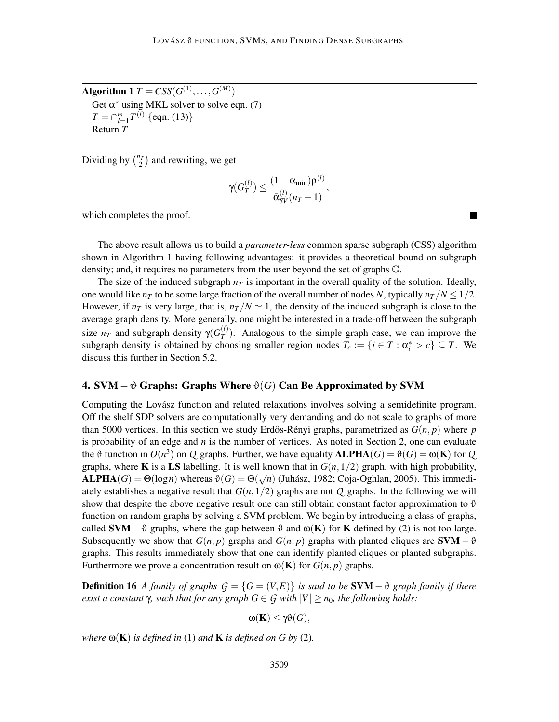Algorithm 1  $T = CSS(G^{(1)},\ldots,G^{(M)})$ 

Get  $\alpha^*$  using MKL solver to solve eqn. (7)  $T = \bigcap_{l=1}^{m} T^{(l)}$  {eqn. (13)} Return *T*

Dividing by  $\binom{n_T}{2}$  and rewriting, we get

$$
\gamma(G_T^{(l)}) \leq \frac{(1-\alpha_{\min})\rho^{(l)}}{\bar{\alpha}_{SV}^{(l)}(n_T-1)},
$$

which completes the proof.

The above result allows us to build a *parameter-less* common sparse subgraph (CSS) algorithm shown in Algorithm 1 having following advantages: it provides a theoretical bound on subgraph density; and, it requires no parameters from the user beyond the set of graphs G.

The size of the induced subgraph  $n<sub>T</sub>$  is important in the overall quality of the solution. Ideally, one would like  $n<sub>T</sub>$  to be some large fraction of the overall number of nodes *N*, typically  $n<sub>T</sub>/N \leq 1/2$ . However, if  $n<sub>T</sub>$  is very large, that is,  $n<sub>T</sub>/N \approx 1$ , the density of the induced subgraph is close to the average graph density. More generally, one might be interested in a trade-off between the subgraph size  $n_T$  and subgraph density  $\gamma(G_T^{(l)})$  $T(T)$ . Analogous to the simple graph case, we can improve the subgraph density is obtained by choosing smaller region nodes  $T_c := \{i \in T : \alpha_i^* > c\} \subseteq T$ . We discuss this further in Section 5.2.

## 4. SVM−<sup>ϑ</sup> Graphs: Graphs Where <sup>ϑ</sup>(*G*) Can Be Approximated by SVM

Computing the Lovász function and related relaxations involves solving a semidefinite program. Off the shelf SDP solvers are computationally very demanding and do not scale to graphs of more than 5000 vertices. In this section we study Erdös-Rényi graphs, parametrized as  $G(n, p)$  where p is probability of an edge and *n* is the number of vertices. As noted in Section 2, one can evaluate the  $\vartheta$  function in  $O(n^3)$  on *Q* graphs. Further, we have equality  $\text{ALPHA}(G) = \vartheta(G) = \omega(\mathbf{K})$  for *Q* graphs, where **K** is a LS labelling. It is well known that in  $G(n,1/2)$  graph, with high probability,  $\mathbf{ALPHA}(G) = \Theta(\log n)$  whereas  $\vartheta(G) = \Theta(\sqrt{n})$  (Juhász, 1982; Coja-Oghlan, 2005). This immediately establishes a negative result that  $G(n,1/2)$  graphs are not  $Q$  graphs. In the following we will show that despite the above negative result one can still obtain constant factor approximation to  $\vartheta$ function on random graphs by solving a SVM problem. We begin by introducing a class of graphs, called **SVM** –  $\vartheta$  graphs, where the gap between  $\vartheta$  and  $\omega(K)$  for K defined by (2) is not too large. Subsequently we show that  $G(n, p)$  graphs and  $G(n, p)$  graphs with planted cliques are  $SVM - \vartheta$ graphs. This results immediately show that one can identify planted cliques or planted subgraphs. Furthermore we prove a concentration result on  $\omega(\mathbf{K})$  for  $G(n, p)$  graphs.

**Definition 16** *A family of graphs*  $G = \{G = (V, E)\}\$ is said to be **SVM** −  $\vartheta$  graph family if there *exist a constant*  $\gamma$ *, such that for any graph*  $G \in \mathcal{G}$  *with*  $|V| \geq n_0$ *, the following holds:* 

$$
\omega({\bf K})\leq \gamma\vartheta(G),
$$

*where*  $\omega(K)$  *is defined in* (1) *and*  $K$  *is defined on*  $G$  *by* (2)*.*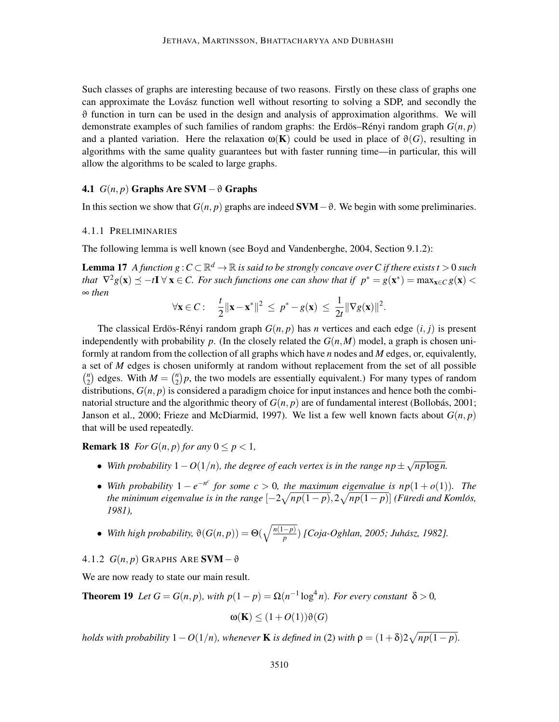Such classes of graphs are interesting because of two reasons. Firstly on these class of graphs one can approximate the Lovász function well without resorting to solving a SDP, and secondly the  $\vartheta$  function in turn can be used in the design and analysis of approximation algorithms. We will demonstrate examples of such families of random graphs: the Erdös–Rényi random graph  $G(n, p)$ and a planted variation. Here the relaxation  $\omega(\mathbf{K})$  could be used in place of  $\vartheta(G)$ , resulting in algorithms with the same quality guarantees but with faster running time—in particular, this will allow the algorithms to be scaled to large graphs.

## 4.1  $G(n, p)$  Graphs Are SVM –  $\vartheta$  Graphs

In this section we show that  $G(n, p)$  graphs are indeed  $SVM - ∂$ . We begin with some preliminaries.

## 4.1.1 PRELIMINARIES

The following lemma is well known (see Boyd and Vandenberghe, 2004, Section 9.1.2):

**Lemma 17** *A function g* :  $C \subset \mathbb{R}^d \to \mathbb{R}$  is said to be strongly concave over C if there exists t > 0 such *that*  $\nabla^2 g(\mathbf{x}) \preceq -t\mathbf{I} \ \forall \ \mathbf{x} \in C$ . For such functions one can show that if  $p^* = g(\mathbf{x}^*) = \max_{\mathbf{x} \in C} g(\mathbf{x}) <$ ∞ *then*

$$
\forall \mathbf{x} \in C: \quad \frac{t}{2} \|\mathbf{x} - \mathbf{x}^*\|^2 \leq p^* - g(\mathbf{x}) \leq \frac{1}{2t} \|\nabla g(\mathbf{x})\|^2.
$$

The classical Erdös-R enyi random graph  $G(n, p)$  has *n* vertices and each edge  $(i, j)$  is present independently with probability p. (In the closely related the  $G(n,M)$  model, a graph is chosen uniformly at random from the collection of all graphs which have *n* nodes and *M* edges, or, equivalently, a set of *M* edges is chosen uniformly at random without replacement from the set of all possible  $\binom{n}{2}$  $\binom{n}{2}$  edges. With  $M = \binom{n}{2}$  $n_2$ ) $p$ , the two models are essentially equivalent.) For many types of random distributions,  $G(n, p)$  is considered a paradigm choice for input instances and hence both the combinatorial structure and the algorithmic theory of  $G(n, p)$  are of fundamental interest (Bollobás, 2001; Janson et al., 2000; Frieze and McDiarmid, 1997). We list a few well known facts about  $G(n, p)$ that will be used repeatedly.

**Remark 18** *For*  $G(n, p)$  *for any*  $0 \leq p \leq 1$ ,

- With probability  $1 O(1/n)$ , the degree of each vertex is in the range  $np \pm \sqrt{np \log n}$ .
- With probability  $1 e^{-n^c}$  for some  $c > 0$ , the maximum eigenvalue is  $np(1 + o(1))$ . The *the minimum eigenvalue is in the range*  $[-2\sqrt{np(1-p)}, 2\sqrt{np(1-p)}]$  *(Füredi and Komlós, 1981),*
- *With high probability,*  $\vartheta(G(n, p)) = \Theta(\sqrt{\frac{n(1-p)}{p}})$  *[Coja-Oghlan, 2005; Juhász, 1982].*

## 4.1.2  $G(n, p)$  GRAPHS ARE SVM  $-\vartheta$

We are now ready to state our main result.

**Theorem 19** *Let*  $G = G(n, p)$ *, with*  $p(1-p) = \Omega(n^{-1} \log^4 n)$ *. For every constant*  $\delta > 0$ *,* 

$$
\omega({\bf K})\leq (1+O(1))\vartheta(G)
$$

*holds with probability*  $1 - O(1/n)$ *, whenever* **K** *is defined in* (2) *with*  $\rho = (1 + \delta)2\sqrt{np(1-p)}$ *.*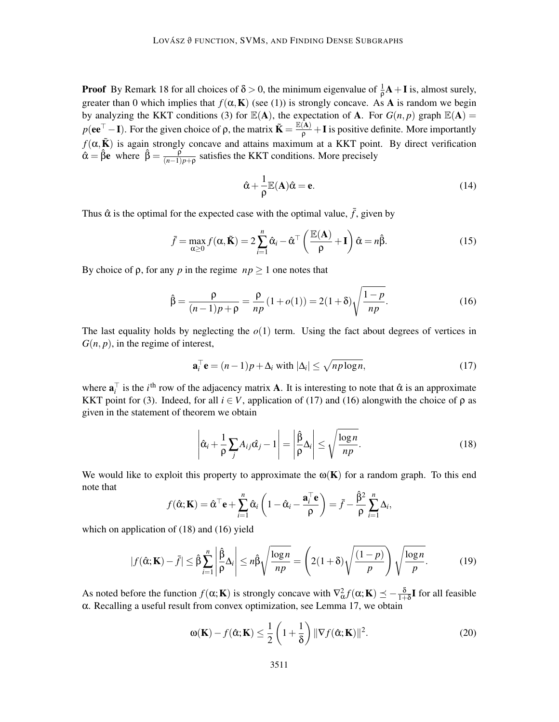**Proof** By Remark 18 for all choices of  $\delta > 0$ , the minimum eigenvalue of  $\frac{1}{\rho}A + I$  is, almost surely, greater than 0 which implies that  $f(\alpha, K)$  (see (1)) is strongly concave. As A is random we begin by analyzing the KKT conditions (3) for  $\mathbb{E}(A)$ , the expectation of A. For  $G(n, p)$  graph  $\mathbb{E}(A) =$  $p(ee^{\top}-I)$ . For the given choice of  $\rho$ , the matrix  $\tilde{K} = \frac{\mathbb{E}(A)}{\rho} + I$  is positive definite. More importantly  $f(\alpha, \tilde{\mathbf{K}})$  is again strongly concave and attains maximum at a KKT point. By direct verification  $\hat{\alpha} = \hat{\beta}e$  where  $\hat{\beta} = \frac{\hat{\beta}}{(n-1)}$  $\frac{p}{(n-1)p+p}$  satisfies the KKT conditions. More precisely

$$
\hat{\alpha} + \frac{1}{\rho} \mathbb{E}(\mathbf{A}) \hat{\alpha} = \mathbf{e}.
$$
 (14)

Thus  $\hat{\alpha}$  is the optimal for the expected case with the optimal value,  $\bar{f}$ , given by

$$
\bar{f} = \max_{\alpha \ge 0} f(\alpha, \tilde{\mathbf{K}}) = 2 \sum_{i=1}^{n} \hat{\alpha}_i - \hat{\alpha}^\top \left( \frac{\mathbb{E}(\mathbf{A})}{\rho} + \mathbf{I} \right) \hat{\alpha} = n\hat{\beta}.
$$
 (15)

By choice of  $\rho$ , for any *p* in the regime  $np \geq 1$  one notes that

$$
\hat{\beta} = \frac{\rho}{(n-1)p + \rho} = \frac{\rho}{np} (1 + o(1)) = 2(1 + \delta) \sqrt{\frac{1 - p}{np}}.
$$
\n(16)

The last equality holds by neglecting the  $o(1)$  term. Using the fact about degrees of vertices in  $G(n, p)$ , in the regime of interest,

$$
\mathbf{a}_i^\top \mathbf{e} = (n-1)p + \Delta_i \text{ with } |\Delta_i| \le \sqrt{n p \log n},\tag{17}
$$

where  $a_i^{\top}$  is the *i*<sup>th</sup> row of the adjacency matrix **A**. It is interesting to note that  $\hat{\alpha}$  is an approximate KKT point for (3). Indeed, for all  $i \in V$ , application of (17) and (16) alongwith the choice of  $\rho$  as given in the statement of theorem we obtain

$$
\left| \hat{\alpha}_i + \frac{1}{\rho} \sum_j A_{ij} \hat{\alpha}_j - 1 \right| = \left| \frac{\hat{\beta}}{\rho} \Delta_i \right| \le \sqrt{\frac{\log n}{np}}.
$$
 (18)

We would like to exploit this property to approximate the  $\omega(K)$  for a random graph. To this end note that

$$
f(\hat{\alpha}; \mathbf{K}) = \hat{\alpha}^{\top} \mathbf{e} + \sum_{i=1}^{n} \hat{\alpha}_i \left( 1 - \hat{\alpha}_i - \frac{\mathbf{a}_i^{\top} \mathbf{e}}{\rho} \right) = \bar{f} - \frac{\hat{\beta}^2}{\rho} \sum_{i=1}^{n} \Delta_i,
$$

which on application of  $(18)$  and  $(16)$  yield

$$
|f(\hat{\alpha}; \mathbf{K}) - \bar{f}| \leq \hat{\beta} \sum_{i=1}^{n} \left| \frac{\hat{\beta}}{\rho} \Delta_i \right| \leq n \hat{\beta} \sqrt{\frac{\log n}{np}} = \left( 2(1+\delta) \sqrt{\frac{(1-p)}{p}} \right) \sqrt{\frac{\log n}{p}}.
$$
 (19)

As noted before the function  $f(\alpha; \mathbf{K})$  is strongly concave with  $\nabla_{\alpha}^2 f(\alpha; \mathbf{K}) \preceq -\frac{\delta}{1+\delta} \mathbf{I}$  for all feasible α. Recalling a useful result from convex optimization, see Lemma 17, we obtain

$$
\omega(\mathbf{K}) - f(\hat{\alpha}; \mathbf{K}) \le \frac{1}{2} \left( 1 + \frac{1}{\delta} \right) \|\nabla f(\hat{\alpha}; \mathbf{K})\|^2.
$$
 (20)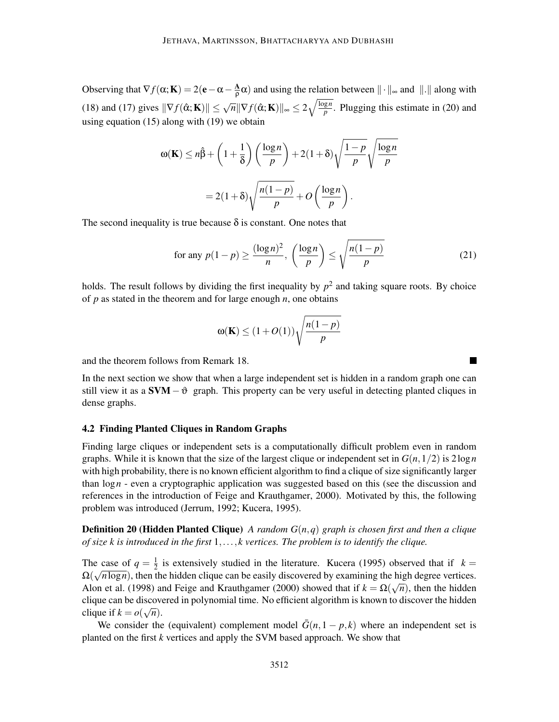Observing that  $\nabla f(\alpha; \mathbf{K}) = 2(\mathbf{e} - \alpha - \frac{\mathbf{A}}{\rho})$  $\frac{\mathbf{A}}{\rho}\alpha$ ) and using the relation between  $\|\cdot\|_{\infty}$  and  $\|\cdot\|$  along with (18) and (17) gives  $\|\nabla f(\hat{\alpha}; \mathbf{K})\| \leq \sqrt{n} \|\nabla f(\hat{\alpha}; \mathbf{K})\|_{\infty} \leq 2 \sqrt{\frac{\log n}{p}}$  $\frac{gn}{p}$ . Plugging this estimate in (20) and using equation (15) along with (19) we obtain

$$
\omega(\mathbf{K}) \le n\hat{\beta} + \left(1 + \frac{1}{\delta}\right) \left(\frac{\log n}{p}\right) + 2(1 + \delta)\sqrt{\frac{1 - p}{p}}\sqrt{\frac{\log n}{p}}
$$

$$
= 2(1 + \delta)\sqrt{\frac{n(1 - p)}{p}} + O\left(\frac{\log n}{p}\right).
$$

The second inequality is true because  $\delta$  is constant. One notes that

for any 
$$
p(1-p) \ge \frac{(\log n)^2}{n}
$$
,  $\left(\frac{\log n}{p}\right) \le \sqrt{\frac{n(1-p)}{p}}$  (21)

holds. The result follows by dividing the first inequality by  $p^2$  and taking square roots. By choice of *p* as stated in the theorem and for large enough *n*, one obtains

$$
\omega(\mathbf{K}) \le (1 + O(1)) \sqrt{\frac{n(1 - p)}{p}}
$$

and the theorem follows from Remark 18.

In the next section we show that when a large independent set is hidden in a random graph one can still view it as a  $SVM - ∅$  graph. This property can be very useful in detecting planted cliques in dense graphs.

## 4.2 Finding Planted Cliques in Random Graphs

Finding large cliques or independent sets is a computationally difficult problem even in random graphs. While it is known that the size of the largest clique or independent set in  $G(n,1/2)$  is  $2\log n$ with high probability, there is no known efficient algorithm to find a clique of size significantly larger than  $\log n$  - even a cryptographic application was suggested based on this (see the discussion and references in the introduction of Feige and Krauthgamer, 2000). Motivated by this, the following problem was introduced (Jerrum, 1992; Kucera, 1995).

Definition 20 (Hidden Planted Clique) *A random G*(*n*,*q*) *graph is chosen first and then a clique of size k is introduced in the first* 1,..., *k vertices. The problem is to identify the clique.*

The case of  $q = \frac{1}{2}$  $\frac{1}{2}$  is extensively studied in the literature. Kucera (1995) observed that if  $k =$  $\Omega(\sqrt{n \log n})$ , then the hidden clique can be easily discovered by examining the high degree vertices. Alon et al. (1998) and Feige and Krauthgamer (2000) showed that if  $k = \Omega(\sqrt{n})$ , then the hidden clique can be discovered in polynomial time. No efficient algorithm is known to discover the hidden clique if  $k = o(\sqrt{n})$ .

We consider the (equivalent) complement model  $\bar{G}(n,1-p,k)$  where an independent set is planted on the first *k* vertices and apply the SVM based approach. We show that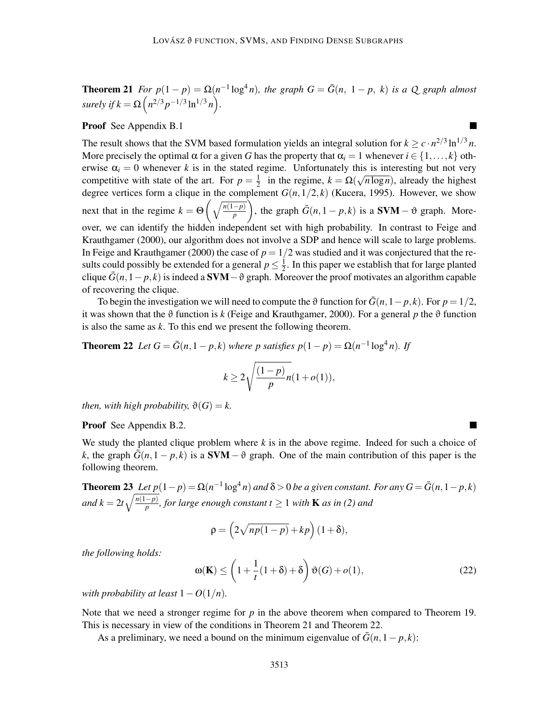**Theorem 21** For  $p(1-p) = \Omega(n^{-1} \log^4 n)$ , the graph  $G = \overline{G}(n, 1-p, k)$  is a Q graph almost *surely if*  $k = \Omega\left(n^{2/3}p^{-1/3}\ln^{1/3}n\right)$ .

 $\blacksquare$ 

## Proof See Appendix B.1

The result shows that the SVM based formulation yields an integral solution for  $k \geq c \cdot n^{2/3} \ln^{1/3} n$ . More precisely the optimal  $\alpha$  for a given *G* has the property that  $\alpha_i = 1$  whenever  $i \in \{1, ..., k\}$  otherwise  $\alpha_i = 0$  whenever *k* is in the stated regime. Unfortunately this is interesting but not very competitive with state of the art. For  $p = \frac{1}{2}$  $\frac{1}{2}$  in the regime,  $k = \Omega(\sqrt{n \log n})$ , already the highest degree vertices form a clique in the complement  $G(n,1/2,k)$  (Kucera, 1995). However, we show next that in the regime  $k = \Theta\left(\sqrt{\frac{n(1-p)}{p}}\right)$ ), the graph  $\bar{G}(n,1-p,k)$  is a **SVM** –  $\vartheta$  graph. Moreover, we can identify the hidden independent set with high probability. In contrast to Feige and Krauthgamer (2000), our algorithm does not involve a SDP and hence will scale to large problems. In Feige and Krauthgamer (2000) the case of  $p = 1/2$  was studied and it was conjectured that the results could possibly be extended for a general  $p \leq \frac{1}{2}$  $\frac{1}{2}$ . In this paper we establish that for large planted clique  $\bar{G}(n,1-p,k)$  is indeed a **SVM**  $-\vartheta$  graph. Moreover the proof motivates an algorithm capable of recovering the clique.

To begin the investigation we will need to compute the  $\vartheta$  function for  $\bar{G}(n,1-p,k)$ . For  $p=1/2$ , it was shown that the  $\vartheta$  function is *k* (Feige and Krauthgamer, 2000). For a general *p* the  $\vartheta$  function is also the same as *k*. To this end we present the following theorem.

**Theorem 22** *Let*  $G = \overline{G}(n, 1-p, k)$  *where p satisfies*  $p(1-p) = \Omega(n^{-1} \log^4 n)$ *. If* 

$$
k \ge 2\sqrt{\frac{(1-p)}{p}n(1+o(1))},
$$

*then, with high probability,*  $\vartheta(G) = k$ .

Proof See Appendix B.2.

We study the planted clique problem where *k* is in the above regime. Indeed for such a choice of *k*, the graph  $G(n,1-p,k)$  is a SVM –  $\vartheta$  graph. One of the main contribution of this paper is the following theorem.

**Theorem 23** Let  $p(1-p) = \Omega(n^{-1} \log^4 n)$  and  $\delta > 0$  be a given constant. For any  $G = \bar{G}(n, 1-p, k)$ *and k* =  $2t\sqrt{\frac{n(1-p)}{p}}$ , for large enough constant t  $\geq 1$  with **K** *as in (2) and* 

$$
\rho = \left(2\sqrt{np(1-p)} + kp\right)(1+\delta),
$$

*the following holds:*

 $\omega(K) \leq$  $\sqrt{ }$  $1+\frac{1}{1}$  $\frac{1}{t}(1+\delta)+\delta$  $\setminus$  $\vartheta(G) + o(1),$  (22)

*with probability at least*  $1 - O(1/n)$ *.* 

Note that we need a stronger regime for *p* in the above theorem when compared to Theorem 19. This is necessary in view of the conditions in Theorem 21 and Theorem 22.

As a preliminary, we need a bound on the minimum eigenvalue of  $\bar{G}(n,1-p,k)$ :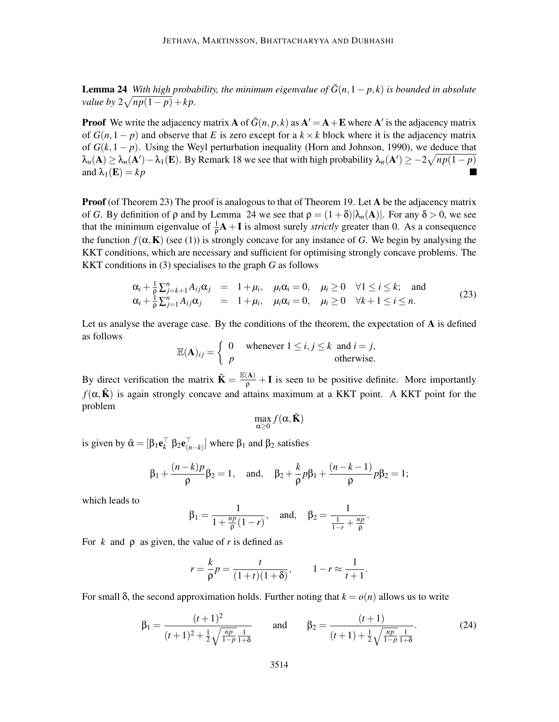**Lemma 24** *With high probability, the minimum eigenvalue of*  $\bar{G}(n,1-p,k)$  *is bounded in absolute value by*  $2\sqrt{np(1-p)} + kp$ .

**Proof** We write the adjacency matrix **A** of  $\bar{G}(n, p, k)$  as  $\mathbf{A}' = \mathbf{A} + \mathbf{E}$  where  $\mathbf{A}'$  is the adjacency matrix of  $G(n,1-p)$  and observe that *E* is zero except for a  $k \times k$  block where it is the adjacency matrix of  $G(k,1-p)$ . Using the Weyl perturbation inequality (Horn and Johnson, 1990), we deduce that  $\lambda_n(A) \geq \lambda_n(A') - \lambda_1(E)$ . By Remark 18 we see that with high probability  $\lambda_n(A') \geq -2\sqrt{np(1-p)}$ and  $\lambda_1(\mathbf{E}) = k p$ 

**Proof** (of Theorem 23) The proof is analogous to that of Theorem 19. Let A be the adjacency matrix of *G*. By definition of  $\rho$  and by Lemma 24 we see that  $\rho = (1+\delta)|\lambda_n(A)|$ . For any  $\delta > 0$ , we see that the minimum eigenvalue of  $\frac{1}{\rho}A + I$  is almost surely *strictly* greater than 0. As a consequence the function  $f(\alpha, K)$  (see (1)) is strongly concave for any instance of *G*. We begin by analysing the KKT conditions, which are necessary and sufficient for optimising strongly concave problems. The KKT conditions in (3) specialises to the graph *G* as follows

$$
\alpha_i + \frac{1}{\rho} \sum_{j=k+1}^n A_{ij} \alpha_j = 1 + \mu_i, \quad \mu_i \alpha_i = 0, \quad \mu_i \ge 0 \quad \forall 1 \le i \le k; \text{ and} \n\alpha_i + \frac{1}{\rho} \sum_{j=1}^n A_{ij} \alpha_j = 1 + \mu_i, \quad \mu_i \alpha_i = 0, \quad \mu_i \ge 0 \quad \forall k+1 \le i \le n.
$$
\n(23)

Let us analyse the average case. By the conditions of the theorem, the expectation of  $A$  is defined as follows

$$
\mathbb{E}(\mathbf{A})_{ij} = \begin{cases} 0 & \text{whenever } 1 \le i, j \le k \text{ and } i = j, \\ p & \text{otherwise.} \end{cases}
$$

By direct verification the matrix  $\tilde{\mathbf{K}} = \frac{\mathbb{E}(\mathbf{A})}{\rho} + \mathbf{I}$  is seen to be positive definite. More importantly  $f(\alpha, \tilde{K})$  is again strongly concave and attains maximum at a KKT point. A KKT point for the problem

$$
\max_{\alpha\geq 0} f(\alpha, \tilde{\mathbf{K}})
$$

is given by  $\hat{\alpha} = [\beta_1 \mathbf{e}_k^{\dagger} \ \beta_2 \mathbf{e}_{(n-k)}^{\dagger}]$  where  $\beta_1$  and  $\beta_2$  satisfies

$$
\beta_1 + \frac{(n-k)p}{\rho}\beta_2 = 1
$$
, and,  $\beta_2 + \frac{k}{\rho}p\beta_1 + \frac{(n-k-1)}{\rho}p\beta_2 = 1$ ;

which leads to

$$
\beta_1 = \frac{1}{1 + \frac{np}{\rho}(1 - r)},
$$
 and,  $\beta_2 = \frac{1}{\frac{1}{1 - r} + \frac{np}{\rho}}.$ 

For  $k$  and  $\rho$  as given, the value of  $r$  is defined as

$$
r = \frac{k}{\rho}p = \frac{t}{(1+t)(1+\delta)}, \qquad 1 - r \approx \frac{1}{t+1}.
$$

For small δ, the second approximation holds. Further noting that  $k = o(n)$  allows us to write

$$
\beta_1 = \frac{(t+1)^2}{(t+1)^2 + \frac{1}{2}\sqrt{\frac{np}{1-p}}\frac{1}{1+\delta}} \quad \text{and} \quad \beta_2 = \frac{(t+1)}{(t+1) + \frac{1}{2}\sqrt{\frac{np}{1-p}}\frac{1}{1+\delta}}.
$$
 (24)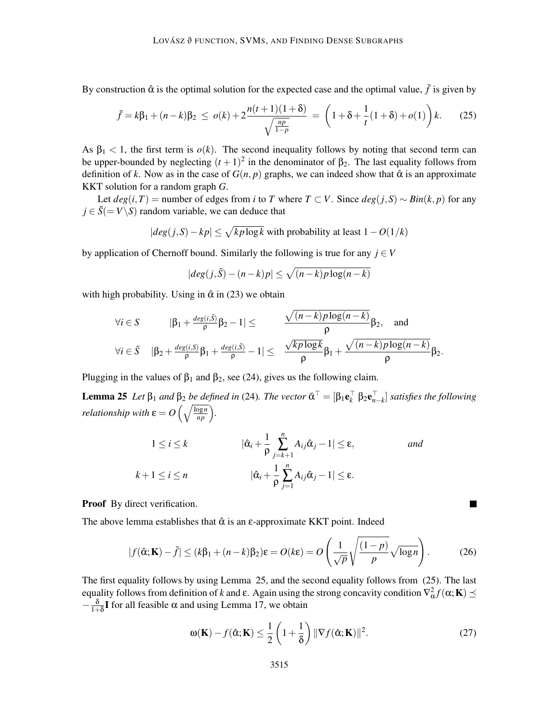By construction  $\hat{\alpha}$  is the optimal solution for the expected case and the optimal value,  $\bar{f}$  is given by

$$
\bar{f} = k\beta_1 + (n-k)\beta_2 \le o(k) + 2\frac{n(t+1)(1+\delta)}{\sqrt{\frac{np}{1-p}}} = \left(1 + \delta + \frac{1}{t}(1+\delta) + o(1)\right)k. \tag{25}
$$

As  $\beta_1 < 1$ , the first term is  $o(k)$ . The second inequality follows by noting that second term can be upper-bounded by neglecting  $(t+1)^2$  in the denominator of  $\beta_2$ . The last equality follows from definition of *k*. Now as in the case of  $G(n, p)$  graphs, we can indeed show that  $\hat{\alpha}$  is an approximate KKT solution for a random graph *G*.

Let  $deg(i, T)$  = number of edges from *i* to *T* where *T* ⊂ *V*. Since  $deg(j, S) \sim Bin(k, p)$  for any  $j \in \overline{S}$ (= *V*\*S*) random variable, we can deduce that

$$
|deg(j, S) - kp| \le \sqrt{k p \log k}
$$
 with probability at least  $1 - O(1/k)$ 

by application of Chernoff bound. Similarly the following is true for any  $j \in V$ 

$$
|deg(j,\bar{S}) - (n-k)p| \le \sqrt{(n-k)p \log(n-k)}
$$

with high probability. Using in  $\hat{\alpha}$  in (23) we obtain

$$
\forall i \in S \qquad |\beta_1 + \frac{\deg(i,\bar{S})}{\rho} \beta_2 - 1| \le \frac{\sqrt{(n-k)p \log(n-k)}}{\rho} \beta_2, \quad \text{and}
$$
  

$$
\forall i \in \bar{S} \quad |\beta_2 + \frac{\deg(i,\bar{S})}{\rho} \beta_1 + \frac{\deg(i,\bar{S})}{\rho} - 1| \le \frac{\sqrt{kp \log k}}{\rho} \beta_1 + \frac{\sqrt{(n-k)p \log(n-k)}}{\rho} \beta_2.
$$

Plugging in the values of  $\beta_1$  and  $\beta_2$ , see (24), gives us the following claim.

**Lemma 25** Let  $\beta_1$  and  $\beta_2$  be defined in (24). The vector  $\bar{\alpha}^{\dagger} = [\beta_1 \mathbf{e}_k^{\dagger} \ \beta_2 \mathbf{e}_{n-k}^{\dagger}]$  satisfies the following *relationship with*  $\varepsilon = O\left(\sqrt{\frac{\log n}{np}}\right)$ .

$$
1 \leq i \leq k \qquad |\hat{\alpha}_i + \frac{1}{\rho} \sum_{j=k+1}^n A_{ij} \hat{\alpha}_j - 1| \leq \varepsilon, \qquad \text{and}
$$

$$
k+1 \leq i \leq n \qquad |\hat{\alpha}_i + \frac{1}{\rho} \sum_{j=1}^n A_{ij} \hat{\alpha}_j - 1| \leq \varepsilon.
$$

Proof By direct verification.

The above lemma establishes that  $\hat{\alpha}$  is an  $\varepsilon$ -approximate KKT point. Indeed

$$
|f(\hat{\alpha}; \mathbf{K}) - \bar{f}| \le (k\beta_1 + (n - k)\beta_2)\varepsilon = O(k\varepsilon) = O\left(\frac{1}{\sqrt{p}}\sqrt{\frac{(1 - p)}{p}}\sqrt{\log n}\right).
$$
 (26)

The first equality follows by using Lemma 25, and the second equality follows from (25). The last equality follows from definition of *k* and ε. Again using the strong concavity condition  $\nabla^2_\alpha f(\alpha; \mathbf{K}) \preceq$  $-\frac{\delta}{1+}$  $\frac{\delta}{1+\delta}$ **I** for all feasible  $\alpha$  and using Lemma 17, we obtain

$$
\omega(\mathbf{K}) - f(\hat{\alpha}; \mathbf{K}) \le \frac{1}{2} \left( 1 + \frac{1}{\delta} \right) \|\nabla f(\hat{\alpha}; \mathbf{K})\|^2.
$$
 (27)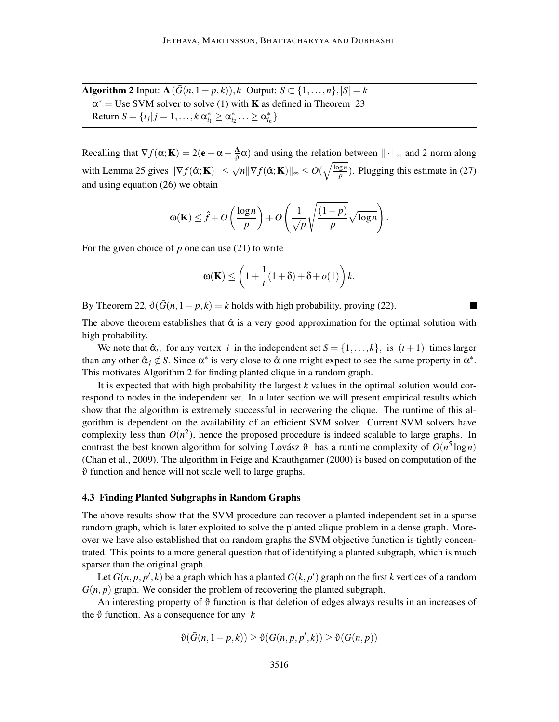Algorithm 2 Input:  $\mathbf{A}(\overline{G}(n,1-p,k)), k$  Output:  $S \subset \{1,\ldots,n\}, |S| = k$ 

| $\alpha^*$ = Use SVM solver to solve (1) with <b>K</b> as defined in Theorem 23            |  |
|--------------------------------------------------------------------------------------------|--|
| Return $S = \{i_j   j = 1, , k \alpha_{i_1}^* \geq \alpha_{i_2}^*  \geq \alpha_{i_n}^* \}$ |  |

Recalling that  $\nabla f(\alpha; \mathbf{K}) = 2(\mathbf{e} - \alpha - \frac{\mathbf{A}}{\rho})$  $\frac{\Delta}{\rho}$  and using the relation between  $\|\cdot\|_{\infty}$  and 2 norm along with Lemma 25 gives  $\|\nabla f(\hat{\alpha}; \mathbf{K})\| \leq \sqrt{n} \|\nabla f(\hat{\alpha}; \mathbf{K})\|_{\infty} \leq O(\sqrt{\frac{\log n}{p}})$  $\frac{gn}{p}$ ). Plugging this estimate in (27) and using equation (26) we obtain

$$
\omega(\mathbf{K}) \leq \hat{f} + O\left(\frac{\log n}{p}\right) + O\left(\frac{1}{\sqrt{p}}\sqrt{\frac{(1-p)}{p}}\sqrt{\log n}\right).
$$

For the given choice of *p* one can use (21) to write

$$
\omega(\mathbf{K}) \le \left(1 + \frac{1}{t}(1+\delta) + \delta + o(1)\right)k.
$$

By Theorem 22,  $\vartheta(\bar{G}(n,1-p,k) = k \text{ holds with high probability, proving (22).}$ 

The above theorem establishes that  $\hat{\alpha}$  is a very good approximation for the optimal solution with high probability.

We note that  $\hat{\alpha}_i$ , for any vertex *i* in the independent set  $S = \{1, ..., k\}$ , is  $(t+1)$  times larger than any other  $\hat{\alpha}_j \notin S$ . Since  $\alpha^*$  is very close to  $\hat{\alpha}$  one might expect to see the same property in  $\alpha^*$ . This motivates Algorithm 2 for finding planted clique in a random graph.

It is expected that with high probability the largest *k* values in the optimal solution would correspond to nodes in the independent set. In a later section we will present empirical results which show that the algorithm is extremely successful in recovering the clique. The runtime of this algorithm is dependent on the availability of an efficient SVM solver. Current SVM solvers have complexity less than  $O(n^2)$ , hence the proposed procedure is indeed scalable to large graphs. In contrast the best known algorithm for solving Lovász  $\vartheta$  has a runtime complexity of  $O(n^5 \log n)$ (Chan et al., 2009). The algorithm in Feige and Krauthgamer (2000) is based on computation of the  $\vartheta$  function and hence will not scale well to large graphs.

#### 4.3 Finding Planted Subgraphs in Random Graphs

The above results show that the SVM procedure can recover a planted independent set in a sparse random graph, which is later exploited to solve the planted clique problem in a dense graph. Moreover we have also established that on random graphs the SVM objective function is tightly concentrated. This points to a more general question that of identifying a planted subgraph, which is much sparser than the original graph.

Let  $G(n, p, p', k)$  be a graph which has a planted  $G(k, p')$  graph on the first  $k$  vertices of a random  $G(n, p)$  graph. We consider the problem of recovering the planted subgraph.

An interesting property of  $\vartheta$  function is that deletion of edges always results in an increases of the  $\vartheta$  function. As a consequence for any  $k$ 

$$
\vartheta(\bar{G}(n,1-p,k)) \geq \vartheta(G(n,p,p',k)) \geq \vartheta(G(n,p))
$$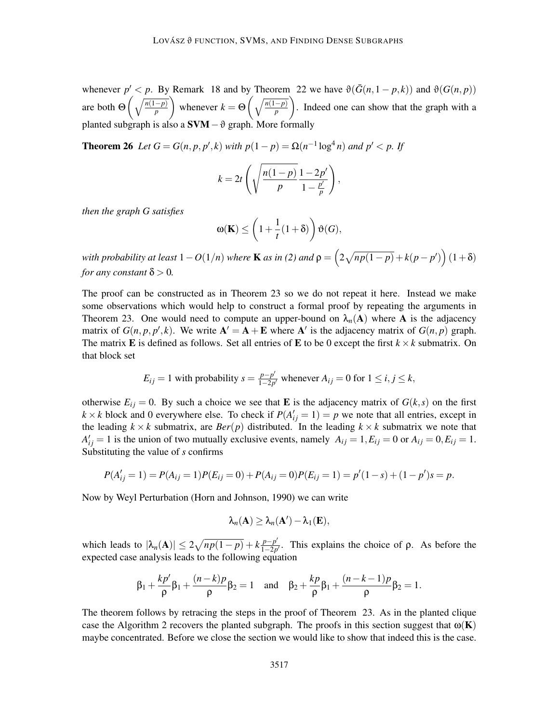whenever  $p' < p$ . By Remark 18 and by Theorem 22 we have  $\vartheta(\bar{G}(n,1-p,k))$  and  $\vartheta(G(n,p))$ are both  $\Theta\left(\sqrt{\frac{n(1-p)}{p}}\right)$ ). whenever  $k = \Theta\left(\sqrt{\frac{n(1-p)}{p}}\right)$ ). . Indeed one can show that the graph with a planted subgraph is also a  $SVM - ∂$  graph. More f

**Theorem 26** *Let*  $G = G(n, p, p', k)$  *with*  $p(1-p) = \Omega(n^{-1} \log^4 n)$  *and*  $p' < p$ . If

$$
k=2t\left(\sqrt{\frac{n(1-p)}{p}}\frac{1-2p'}{1-\frac{p'}{p}}\right),\,
$$

*then the graph G satisfies*

$$
\omega(\mathbf{K}) \le \left(1 + \frac{1}{t}(1+\delta)\right)\vartheta(G),
$$

*with probability at least*  $1 - O(1/n)$  *where K as in (2) and*  $\rho = \left(2\sqrt{np(1-p)} + k(p-p')\right)(1+\delta)$ *for any constant*  $\delta$  > 0.

The proof can be constructed as in Theorem 23 so we do not repeat it here. Instead we make some observations which would help to construct a formal proof by repeating the arguments in Theorem 23. One would need to compute an upper-bound on  $\lambda_n(A)$  where A is the adjacency matrix of  $G(n, p, p', k)$ . We write  $A' = A + E$  where A' is the adjacency matrix of  $G(n, p)$  graph. The matrix **E** is defined as follows. Set all entries of **E** to be 0 except the first  $k \times k$  submatrix. On that block set

$$
E_{ij} = 1
$$
 with probability  $s = \frac{p - p'}{1 - 2p'}$  whenever  $A_{ij} = 0$  for  $1 \le i, j \le k$ ,

otherwise  $E_{ij} = 0$ . By such a choice we see that **E** is the adjacency matrix of  $G(k, s)$  on the first  $k \times k$  block and 0 everywhere else. To check if  $P(A'_{ij} = 1) = p$  we note that all entries, except in the leading  $k \times k$  submatrix, are  $Ber(p)$  distributed. In the leading  $k \times k$  submatrix we note that  $A'_{ij} = 1$  is the union of two mutually exclusive events, namely  $A_{ij} = 1, E_{ij} = 0$  or  $A_{ij} = 0, E_{ij} = 1$ . Substituting the value of *s* confirms

$$
P(A'_{ij} = 1) = P(A_{ij} = 1)P(E_{ij} = 0) + P(A_{ij} = 0)P(E_{ij} = 1) = p'(1 - s) + (1 - p')s = p.
$$

Now by Weyl Perturbation (Horn and Johnson, 1990) we can write

$$
\lambda_n(\mathbf{A}) \geq \lambda_n(\mathbf{A}') - \lambda_1(\mathbf{E}),
$$

which leads to  $|\lambda_n(A)| \leq 2\sqrt{np(1-p)} + k\frac{p-p'}{1-2p}$  $\frac{p-p}{1-2p'}$ . This explains the choice of  $\rho$ . As before the expected case analysis leads to the following equation

$$
\beta_1 + \frac{kp'}{\rho}\beta_1 + \frac{(n-k)p}{\rho}\beta_2 = 1
$$
 and  $\beta_2 + \frac{kp}{\rho}\beta_1 + \frac{(n-k-1)p}{\rho}\beta_2 = 1$ .

The theorem follows by retracing the steps in the proof of Theorem 23. As in the planted clique case the Algorithm 2 recovers the planted subgraph. The proofs in this section suggest that  $\omega(K)$ maybe concentrated. Before we close the section we would like to show that indeed this is the case.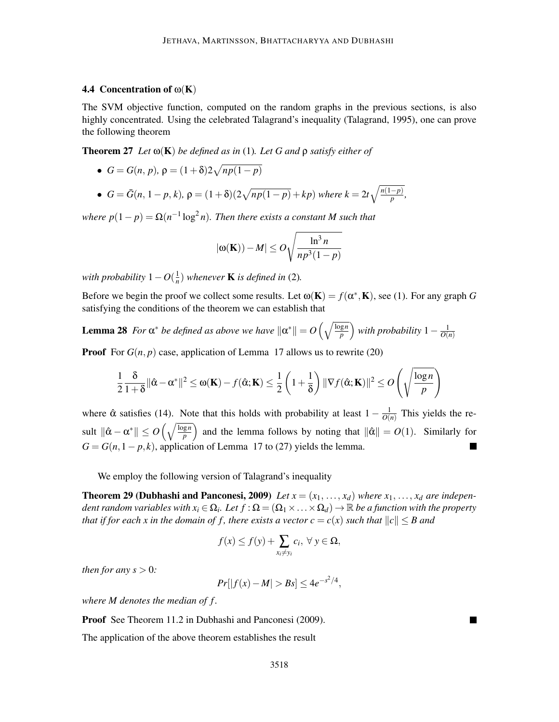## 4.4 Concentration of  $\omega(K)$

The SVM objective function, computed on the random graphs in the previous sections, is also highly concentrated. Using the celebrated Talagrand's inequality (Talagrand, 1995), one can prove the following theorem

Theorem 27 *Let* ω(K) *be defined as in* (1)*. Let G and* ρ *satisfy either of*

 $\bullet$  *G* = *G*(*n*, *p*),  $\rho$  = (1+δ)2 $\sqrt{np(1-p)}$ 

• 
$$
G = \bar{G}(n, 1-p, k), \rho = (1+\delta)(2\sqrt{np(1-p)} + kp)
$$
 where  $k = 2t\sqrt{\frac{n(1-p)}{p}},$ 

*where*  $p(1-p) = \Omega(n^{-1} \log^2 n)$ . Then there exists a constant M such that

$$
|\omega(\mathbf{K})) - M| \le O\sqrt{\frac{\ln^3 n}{np^3(1-p)}}
$$

*with probability*  $1 - O(\frac{1}{n})$  $\frac{1}{n}$ ) whenever **K** is defined in (2).

Before we begin the proof we collect some results. Let  $\omega(\mathbf{K}) = f(\alpha^*, \mathbf{K})$ , see (1). For any graph *G* satisfying the conditions of the theorem we can establish that

Lemma 28 For  $\alpha^*$  be defined as above we have  $\|\alpha^*\| = O\left(\sqrt{\frac{\log n}{p}}\right)$  with probability  $1-\frac{1}{O(n)}$ *O*(*n*)

**Proof** For  $G(n, p)$  case, application of Lemma 17 allows us to rewrite (20)

$$
\frac{1}{2}\frac{\delta}{1+\delta}\|\hat{\mathbf{a}}-\mathbf{\alpha}^*\|^2 \leq \mathbf{\omega}(\mathbf{K}) - f(\hat{\mathbf{\alpha}};\mathbf{K}) \leq \frac{1}{2}\left(1+\frac{1}{\delta}\right)\|\nabla f(\hat{\mathbf{\alpha}};\mathbf{K})\|^2 \leq O\left(\sqrt{\frac{\log n}{p}}\right)
$$

where  $\hat{\alpha}$  satisfies (14). Note that this holds with probability at least  $1 - \frac{1}{O(n)}$  $\frac{1}{O(n)}$  This yields the result  $\|\hat{\alpha} - \alpha^*\| \le O\left(\sqrt{\frac{\log n}{p}}\right)$  and the lemma follows by noting that  $\|\hat{\alpha}\| = O(1)$ . Similarly for  $G = G(n, 1 - p, k)$ , application of Lemma 17 to (27) yields the lemma.

We employ the following version of Talagrand's inequality

**Theorem 29 (Dubhashi and Panconesi, 2009)** Let  $x = (x_1, \ldots, x_d)$  where  $x_1, \ldots, x_d$  are indepen*dent random variables with*  $x_i \in \Omega_i$ *. Let*  $f: \Omega = (\Omega_1 \times \ldots \times \Omega_d) \to \mathbb{R}$  *be a function with the property that if for each x in the domain of f, there exists a vector*  $c = c(x)$  *such that*  $||c|| \leq B$  and

$$
f(x) \le f(y) + \sum_{x_i \ne y_i} c_i, \ \forall \ y \in \Omega,
$$

*then for any*  $s > 0$ *:* 

$$
Pr[|f(x) - M| > Bs] \le 4e^{-s^2/4},
$$

*where M denotes the median of f .*

Proof See Theorem 11.2 in Dubhashi and Panconesi (2009).

The application of the above theorem establishes the result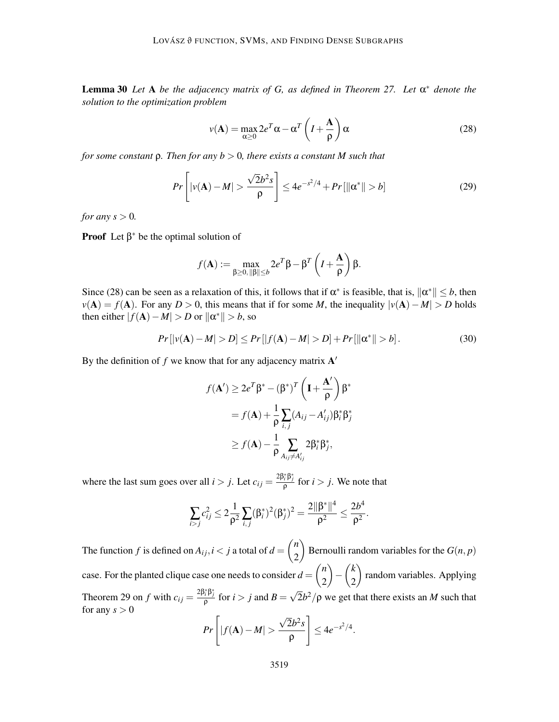Lemma 30 *Let* A *be the adjacency matrix of G, as defined in Theorem 27. Let* α ∗ *denote the solution to the optimization problem*

$$
v(\mathbf{A}) = \max_{\alpha \ge 0} 2e^T \alpha - \alpha^T \left( I + \frac{\mathbf{A}}{\rho} \right) \alpha
$$
 (28)

*for some constant* ρ*. Then for any b* > 0*, there exists a constant M such that*

$$
Pr\left[|v(\mathbf{A}) - M| > \frac{\sqrt{2}b^2s}{\rho}\right] \le 4e^{-s^2/4} + Pr[\|\alpha^*\| > b] \tag{29}
$$

*for any s*  $> 0$ *.* 

**Proof** Let  $\beta^*$  be the optimal solution of

$$
f(\mathbf{A}) := \max_{\beta \ge 0, ||\beta|| \le b} 2e^T \beta - \beta^T \left( I + \frac{\mathbf{A}}{\rho} \right) \beta.
$$

Since (28) can be seen as a relaxation of this, it follows that if  $\alpha^*$  is feasible, that is,  $\|\alpha^*\| \le b$ , then  $v(A) = f(A)$ . For any *D* > 0, this means that if for some *M*, the inequality  $|v(A) - M| > D$  holds then either  $|f(A) - M| > D$  or  $\|\alpha^*\| > b$ , so

$$
Pr[|v(\mathbf{A}) - M| > D] \le Pr[|f(\mathbf{A}) - M| > D] + Pr[||\alpha^*|| > b].
$$
 (30)

By the definition of  $f$  we know that for any adjacency matrix  $A'$ 

$$
f(\mathbf{A}') \ge 2e^T \beta^* - (\beta^*)^T \left(\mathbf{I} + \frac{\mathbf{A}'}{\rho}\right) \beta^*
$$
  
=  $f(\mathbf{A}) + \frac{1}{\rho} \sum_{i,j} (A_{ij} - A'_{ij}) \beta_i^* \beta_j^*$   

$$
\ge f(\mathbf{A}) - \frac{1}{\rho} \sum_{A_{ij} \ne A'_{ij}} 2\beta_i^* \beta_j^*,
$$

where the last sum goes over all  $i > j$ . Let  $c_{ij} = \frac{2\beta_i^* \beta_j^*}{\rho}$  for  $i > j$ . We note that

$$
\sum_{i>j}c_{ij}^2\leq 2\frac{1}{\rho^2}\sum_{i,j}(\beta_i^*)^2(\beta_j^*)^2=\frac{2\|\beta^*\|^4}{\rho^2}\leq \frac{2b^4}{\rho^2}.
$$

The function *f* is defined on  $A_{ij}$ ,  $i < j$  a total of  $d =$  *n* 2  $\setminus$ Bernoulli random variables for the  $G(n, p)$ case. For the planted clique case one needs to consider  $d =$  *n* 2  $\setminus$ − *k* 2  $\setminus$ random variables. Applying Theorem 29 on *f* with  $c_{ij} = \frac{2\beta_i^*\beta_j^*}{\rho}$  for  $i > j$  and  $B = \sqrt{2}b^2/\rho$  we get that there exists an *M* such that for any  $s > 0$ 

$$
Pr\left[|f(\mathbf{A}) - M| > \frac{\sqrt{2}b^2s}{\rho}\right] \le 4e^{-s^2/4}.
$$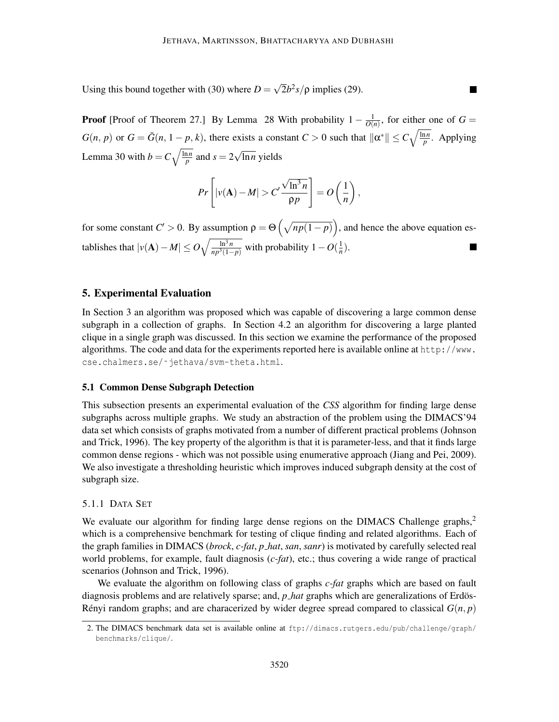Using this bound together with (30) where  $D = \sqrt{2}b^2s/\rho$  implies (29).

**Proof** [Proof of Theorem 27.] By Lemma 28 With probability  $1 - \frac{1}{O(\lambda)}$  $\frac{1}{O(n)}$ , for either one of  $G =$  $G(n, p)$  or  $G = \bar{G}(n, 1-p, k)$ , there exists a constant  $C > 0$  such that  $\|\alpha^*\| \le C\sqrt{\frac{\ln n}{p}}$ . Applying Lemma 30 with  $b = C \sqrt{\frac{\ln n}{p}}$  and  $s = 2\sqrt{\ln n}$  yields

 $\blacksquare$ 

$$
Pr\left[|\nu(\mathbf{A}) - M| > C' \frac{\sqrt{\ln^3 n}}{\rho p}\right] = O\left(\frac{1}{n}\right),\,
$$

for some constant  $C' > 0$ . By assumption  $\rho = \Theta\left(\sqrt{np(1-p)}\right)$ , and hence the above equation establishes that  $|v(A) - M| \leq O\sqrt{\frac{\ln^3 n}{np^3(1-p)}}$  with probability  $1 - O(\frac{1}{n})$  $\frac{1}{n}$ .

## 5. Experimental Evaluation

In Section 3 an algorithm was proposed which was capable of discovering a large common dense subgraph in a collection of graphs. In Section 4.2 an algorithm for discovering a large planted clique in a single graph was discussed. In this section we examine the performance of the proposed algorithms. The code and data for the experiments reported here is available online at http://www. cse.chalmers.se/˜jethava/svm-theta.html.

#### 5.1 Common Dense Subgraph Detection

This subsection presents an experimental evaluation of the *CSS* algorithm for finding large dense subgraphs across multiple graphs. We study an abstraction of the problem using the DIMACS'94 data set which consists of graphs motivated from a number of different practical problems (Johnson and Trick, 1996). The key property of the algorithm is that it is parameter-less, and that it finds large common dense regions - which was not possible using enumerative approach (Jiang and Pei, 2009). We also investigate a thresholding heuristic which improves induced subgraph density at the cost of subgraph size.

#### 5.1.1 DATA SET

We evaluate our algorithm for finding large dense regions on the DIMACS Challenge graphs, $2$ which is a comprehensive benchmark for testing of clique finding and related algorithms. Each of the graph families in DIMACS (*brock*, *c-fat*, *p hat*, *san*, *sanr*) is motivated by carefully selected real world problems, for example, fault diagnosis (*c-fat*), etc.; thus covering a wide range of practical scenarios (Johnson and Trick, 1996).

We evaluate the algorithm on following class of graphs *c-fat* graphs which are based on fault diagnosis problems and are relatively sparse; and, *p hat* graphs which are generalizations of Erdös-Renyi random graphs; and are characerized by wider degree spread compared to classical  $G(n, p)$ 

<sup>2.</sup> The DIMACS benchmark data set is available online at ftp://dimacs.rutgers.edu/pub/challenge/graph/ benchmarks/clique/.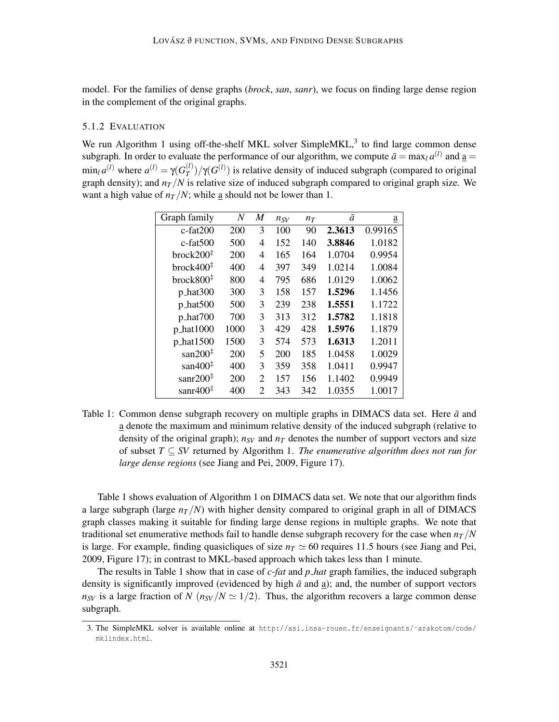model. For the families of dense graphs (*brock*, *san*, *sanr*), we focus on finding large dense region in the complement of the original graphs.

## 5.1.2 EVALUATION

We run Algorithm 1 using off-the-shelf MKL solver SimpleMKL, $3$  to find large common dense subgraph. In order to evaluate the performance of our algorithm, we compute  $\bar{a} = \max_l a^{(l)}$  and  $\underline{a} =$  $\min_l a^{(l)}$  where  $a^{(l)} = \gamma(G_T^{(l)})$  $(T(T)$ )/γ(*G*<sup>(*l*</sup>))</sub> is relative density of induced subgraph (compared to original graph density); and  $n_T/N$  is relative size of induced subgraph compared to original graph size. We want a high value of  $n<sub>T</sub>/N$ ; while <u>a</u> should not be lower than 1.

| Graph family          | N    | M              | $n_{SV}$ | $n_T$ | ā      | $\underline{a}$ |
|-----------------------|------|----------------|----------|-------|--------|-----------------|
| $c$ -fat $200$        | 200  | 3              | 100      | 90    | 2.3613 | 0.99165         |
| $c$ -fat $500$        | 500  | 4              | 152      | 140   | 3.8846 | 1.0182          |
| brock200 <sup>‡</sup> | 200  | 4              | 165      | 164   | 1.0704 | 0.9954          |
| brock400 <sup>‡</sup> | 400  | 4              | 397      | 349   | 1.0214 | 1.0084          |
| brock800 <sup>‡</sup> | 800  | 4              | 795      | 686   | 1.0129 | 1.0062          |
| $p_{\text{hat}300}$   | 300  | 3              | 158      | 157   | 1.5296 | 1.1456          |
| $p_{\text{hat}500}$   | 500  | 3              | 239      | 238   | 1.5551 | 1.1722          |
| p_hat700              | 700  | 3              | 313      | 312   | 1.5782 | 1.1818          |
| p_hat1000             | 1000 | 3              | 429      | 428   | 1.5976 | 1.1879          |
| p_hat1500             | 1500 | 3              | 574      | 573   | 1.6313 | 1.2011          |
| san $200^{\ddagger}$  | 200  | 5              | 200      | 185   | 1.0458 | 1.0029          |
| san $400^{\ddagger}$  | 400  | 3              | 359      | 358   | 1.0411 | 0.9947          |
| sanr $200^{\ddagger}$ | 200  | $\overline{2}$ | 157      | 156   | 1.1402 | 0.9949          |
| sanr $400^{\ddagger}$ | 400  | $\overline{2}$ | 343      | 342   | 1.0355 | 1.0017          |

Table 1: Common dense subgraph recovery on multiple graphs in DIMACS data set. Here  $\bar{a}$  and a denote the maximum and minimum relative density of the induced subgraph (relative to density of the original graph);  $n_{SV}$  and  $n_T$  denotes the number of support vectors and size of subset *T* ⊆ *SV* returned by Algorithm 1. *The enumerative algorithm does not run for large dense regions* (see Jiang and Pei, 2009, Figure 17).

Table 1 shows evaluation of Algorithm 1 on DIMACS data set. We note that our algorithm finds a large subgraph (large  $n<sub>T</sub>/N$ ) with higher density compared to original graph in all of DIMACS graph classes making it suitable for finding large dense regions in multiple graphs. We note that traditional set enumerative methods fail to handle dense subgraph recovery for the case when  $n_T/N$ is large. For example, finding quasicliques of size  $n<sub>T</sub> \approx 60$  requires 11.5 hours (see Jiang and Pei, 2009, Figure 17); in contrast to MKL-based approach which takes less than 1 minute.

The results in Table 1 show that in case of *c-fat* and *p hat* graph families, the induced subgraph density is significantly improved (evidenced by high  $\bar{a}$  and a); and, the number of support vectors  $n_{SV}$  is a large fraction of *N* ( $n_{SV}/N \simeq 1/2$ ). Thus, the algorithm recovers a large common dense subgraph.

<sup>3.</sup> The SimpleMKL solver is available online at http://asi.insa-rouen.fr/enseignants/˜arakotom/code/ mklindex.html.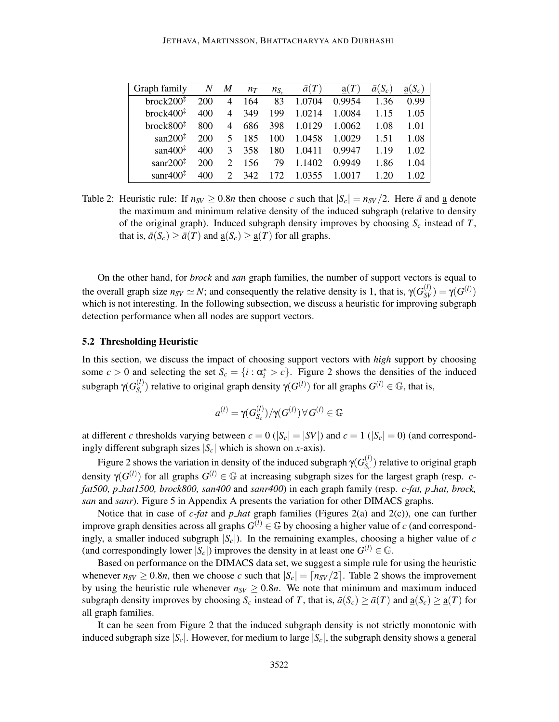| Graph family             | N   | M              | $n_T$ | $n_{S_c}$ | $\bar{a}(T)$ | a(T)   | $\bar{a}(S_c)$ | $a(S_c)$ |
|--------------------------|-----|----------------|-------|-----------|--------------|--------|----------------|----------|
| brock $200^{\ddagger}$   | 200 | $\overline{4}$ | 164   | 83        | 1.0704       | 0.9954 | 1.36           | 0.99     |
| brock400 <sup>‡</sup>    | 400 | $\overline{4}$ | 349   | 199       | 1.0214       | 1.0084 | 1.15           | 1.05     |
| break800 <sup>‡</sup>    | 800 | 4              | 686   | 398       | 1.0129       | 1.0062 | 1.08           | 1.01     |
| san $200^{\ddagger}$     | 200 | 5              | 185   | 100       | 1.0458       | 1.0029 | 1.51           | 1.08     |
| san $400^{\frac{1}{4}}$  | 400 | 3              | 358   | 180       | 1.0411       | 0.9947 | 1.19           | 1.02     |
| sanr $200^{\ddagger}$    | 200 | $\mathcal{D}$  | 156   | 79        | 1.1402       | 0.9949 | 1.86           | 1.04     |
| sanr $400^{\frac{1}{4}}$ |     | $\mathcal{D}$  | 342   | 172       | 1.0355       | 1 0017 | 1.20           | L 02.    |

Table 2: Heuristic rule: If  $n_{SV} \ge 0.8n$  then choose *c* such that  $|S_c| = n_{SV}/2$ . Here  $\bar{a}$  and <u>a</u> denote the maximum and minimum relative density of the induced subgraph (relative to density of the original graph). Induced subgraph density improves by choosing  $S_c$  instead of  $T$ , that is,  $\bar{a}(S_c) \geq \bar{a}(T)$  and  $\underline{a}(S_c) \geq \underline{a}(T)$  for all graphs.

On the other hand, for *brock* and *san* graph families, the number of support vectors is equal to the overall graph size  $n_{SV} \simeq N$ ; and consequently the relative density is 1, that is,  $\gamma(G_{SV}^{(l)}) = \gamma(G^{(l)})$ which is not interesting. In the following subsection, we discuss a heuristic for improving subgraph detection performance when all nodes are support vectors.

#### 5.2 Thresholding Heuristic

In this section, we discuss the impact of choosing support vectors with *high* support by choosing some  $c > 0$  and selecting the set  $S_c = \{i : \alpha_i^* > c\}$ . Figure 2 shows the densities of the induced subgraph  $γ(G_S^{(l)})$  $S_c$ <sup>(*l*)</sup>) relative to original graph density  $\gamma(G^{(l)})$  for all graphs  $G^{(l)} \in \mathbb{G}$ , that is,

$$
a^{(l)} = \gamma(G_{S_c}^{(l)})/\gamma(G^{(l)}) \, \forall \, G^{(l)} \in \mathbb{G}
$$

at different *c* thresholds varying between  $c = 0$  ( $|S_c| = |SV|$ ) and  $c = 1$  ( $|S_c| = 0$ ) (and correspondingly different subgraph sizes  $|S_c|$  which is shown on *x*-axis).

Figure 2 shows the variation in density of the induced subgraph  $\gamma(G_{S_8}^{(l)})$  $S_c^{(l)}$  relative to original graph density  $\gamma(G^{(l)})$  for all graphs  $G^{(l)} \in \mathbb{G}$  at increasing subgraph sizes for the largest graph (resp. *cfat500, p hat1500, brock800, san400* and *sanr400*) in each graph family (resp. *c-fat, p hat, brock, san* and *sanr*). Figure 5 in Appendix A presents the variation for other DIMACS graphs.

Notice that in case of *c-fat* and *p hat* graph families (Figures 2(a) and 2(c)), one can further improve graph densities across all graphs  $G^{(l)} \in \mathbb{G}$  by choosing a higher value of *c* (and correspondingly, a smaller induced subgraph  $|S_c|$ ). In the remaining examples, choosing a higher value of *c* (and correspondingly lower  $|S_c|$ ) improves the density in at least one  $G^{(l)} \in \mathbb{G}$ .

Based on performance on the DIMACS data set, we suggest a simple rule for using the heuristic whenever  $n_{SV} \geq 0.8n$ , then we choose *c* such that  $|S_c| = \lfloor n_{SV}/2 \rfloor$ . Table 2 shows the improvement by using the heuristic rule whenever  $n_{SV} \ge 0.8n$ . We note that minimum and maximum induced subgraph density improves by choosing  $S_c$  instead of *T*, that is,  $\bar{a}(S_c) \geq \bar{a}(T)$  and  $\underline{a}(S_c) \geq \underline{a}(T)$  for all graph families.

It can be seen from Figure 2 that the induced subgraph density is not strictly monotonic with induced subgraph size  $|S_c|$ . However, for medium to large  $|S_c|$ , the subgraph density shows a general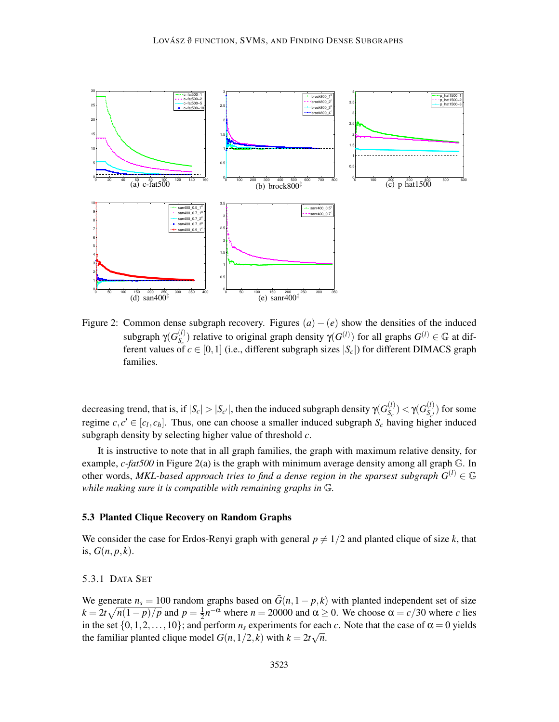

Figure 2: Common dense subgraph recovery. Figures  $(a) - (e)$  show the densities of the induced subgraph  $γ(G_S^{(l)})$  $S_c$ (*l*) relative to original graph density  $\gamma(G^{(l)})$  for all graphs  $G^{(l)} \in \mathbb{G}$  at different values of  $c \in [0,1]$  (i.e., different subgraph sizes  $|S_c|$ ) for different DIMACS graph families.

decreasing trend, that is, if  $|S_c| > |S_{c'}|$ , then the induced subgraph density  $\gamma(G_{S_c}^{(l)})$  $S_{\scriptscriptstyle\mathcal{C}}^{(l)})<\gamma(G_{S_{\scriptscriptstyle\mathcal{C}}'}^{(l)})$  $S_{c'}^{(t)}$  for some regime  $c, c' \in [c_l, c_h]$ . Thus, one can choose a smaller induced subgraph  $S_c$  having higher induced subgraph density by selecting higher value of threshold *c*.

It is instructive to note that in all graph families, the graph with maximum relative density, for example, *c-fat500* in Figure 2(a) is the graph with minimum average density among all graph G. In other words, *MKL-based approach tries to find a dense region in the sparsest subgraph*  $G^{(l)} \in \mathbb{G}$ *while making sure it is compatible with remaining graphs in* G*.*

#### 5.3 Planted Clique Recovery on Random Graphs

We consider the case for Erdos-Renyi graph with general  $p \neq 1/2$  and planted clique of size k, that is,  $G(n, p, k)$ .

#### 5.3.1 DATA SET

We generate  $n_s = 100$  random graphs based on  $\bar{G}(n, 1 - p, k)$  with planted independent set of size  $k = 2t\sqrt{n(1-p)/p}$  and  $p = \frac{1}{2}$  $\frac{1}{2}n^{-\alpha}$  where  $n = 20000$  and  $\alpha \ge 0$ . We choose  $\alpha = c/30$  where *c* lies in the set  $\{0,1,2,\ldots,10\}$ ; and perform  $n_s$  experiments for each *c*. Note that the case of  $\alpha = 0$  yields the familiar planted clique model  $G(n,1/2,k)$  with  $k = 2t\sqrt{n}$ .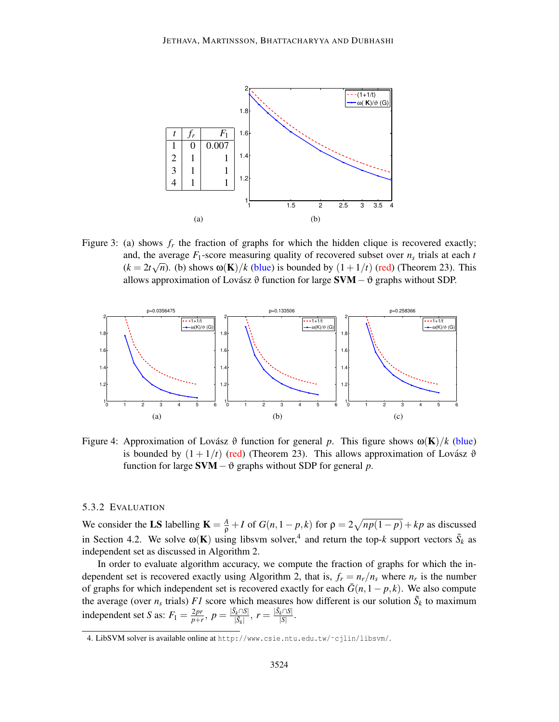

Figure 3: (a) shows  $f_r$  the fraction of graphs for which the hidden clique is recovered exactly; and, the average  $F_1$ -score measuring quality of recovered subset over  $n_s$  trials at each  $t$  $(k = 2t\sqrt{n})$ . (b) shows  $\omega(\mathbf{K})/k$  (blue) is bounded by  $(1 + 1/t)$  (red) (Theorem 23). This allows approximation of Lovász  $\vartheta$  function for large **SVM** –  $\vartheta$  graphs without SDP.



Figure 4: Approximation of Lovász  $\vartheta$  function for general p. This figure shows  $\omega(\mathbf{K})/k$  (blue) is bounded by  $(1 + 1/t)$  (red) (Theorem 23). This allows approximation of Lovász  $\vartheta$ function for large SVM−ϑ graphs without SDP for general *p*.

#### 5.3.2 EVALUATION

We consider the LS labelling  $\mathbf{K} = \frac{A}{\rho} + I$  of  $G(n, 1 - p, k)$  for  $\rho = 2\sqrt{np(1 - p)} + kp$  as discussed in Section 4.2. We solve  $\omega(\mathbf{K})$  using libsvm solver,<sup>4</sup> and return the top-*k* support vectors  $\tilde{S}_k$  as independent set as discussed in Algorithm 2.

In order to evaluate algorithm accuracy, we compute the fraction of graphs for which the independent set is recovered exactly using Algorithm 2, that is,  $f_r = n_r/n_s$  where  $n_r$  is the number of graphs for which independent set is recovered exactly for each  $\bar{G}(n,1-p,k)$ . We also compute the average (over  $n_s$  trials) *F1* score which measures how different is our solution  $\tilde{S}_k$  to maximum independent set *S* as:  $F_1 = \frac{2pr}{p+1}$  $\frac{2pr}{p+r}, p = \frac{|\tilde{S}_k \cap S|}{|\tilde{S}_k|}$  $\frac{|\tilde{S}_k \cap S|}{|\tilde{S}_k|}, r = \frac{|\tilde{S}_k \cap S|}{|S|}$  $rac{k^{\dagger}+|S|}{|S|}$ .

<sup>4.</sup> LibSVM solver is available online at http://www.csie.ntu.edu.tw/˜cjlin/libsvm/.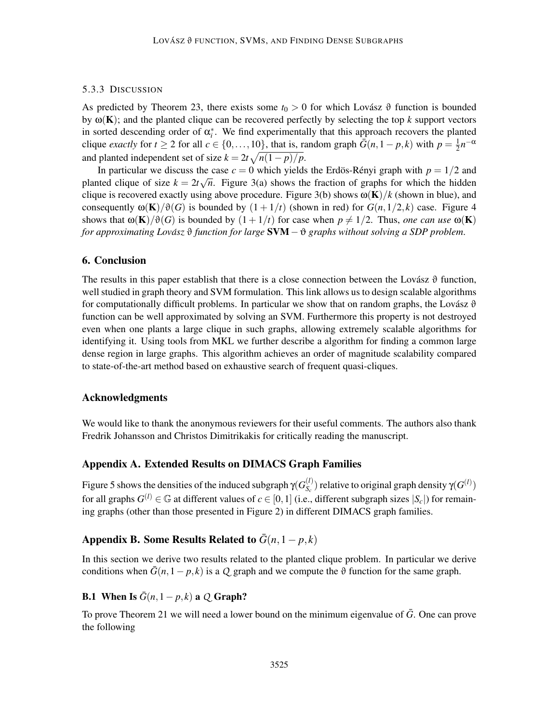## 5.3.3 DISCUSSION

As predicted by Theorem 23, there exists some  $t_0 > 0$  for which Lovász  $\vartheta$  function is bounded by  $\omega(K)$ ; and the planted clique can be recovered perfectly by selecting the top *k* support vectors in sorted descending order of  $\alpha_i^*$ . We find experimentally that this approach recovers the planted clique *exactly* for  $t \ge 2$  for all  $c \in \{0, ..., 10\}$ , that is, random graph  $\bar{G}(n, 1 - p, k)$  with  $p = \frac{1}{2}$  $\frac{1}{2}n^{-\alpha}$ and planted independent set of size  $k = 2t\sqrt{n(1-p)/p}$ .

In particular we discuss the case  $c = 0$  which yields the Erdös-Rényi graph with  $p = 1/2$  and planted clique of size  $k = 2t\sqrt{n}$ . Figure 3(a) shows the fraction of graphs for which the hidden clique is recovered exactly using above procedure. Figure 3(b) shows  $\omega(K)/k$  (shown in blue), and consequently  $\omega(\mathbf{K})/\vartheta(G)$  is bounded by  $(1+1/t)$  (shown in red) for  $G(n,1/2,k)$  case. Figure 4 shows that  $\omega(K)/\vartheta(G)$  is bounded by  $(1+1/t)$  for case when  $p \neq 1/2$ . Thus, *one can use*  $\omega(K)$ *for approximating Lovász*  $\vartheta$  *function for large* **SVM** −  $\vartheta$  *graphs without solving a SDP problem.* 

## 6. Conclusion

The results in this paper establish that there is a close connection between the Lovász  $\vartheta$  function, well studied in graph theory and SVM formulation. This link allows us to design scalable algorithms for computationally difficult problems. In particular we show that on random graphs, the Lovász  $\vartheta$ function can be well approximated by solving an SVM. Furthermore this property is not destroyed even when one plants a large clique in such graphs, allowing extremely scalable algorithms for identifying it. Using tools from MKL we further describe a algorithm for finding a common large dense region in large graphs. This algorithm achieves an order of magnitude scalability compared to state-of-the-art method based on exhaustive search of frequent quasi-cliques.

## Acknowledgments

We would like to thank the anonymous reviewers for their useful comments. The authors also thank Fredrik Johansson and Christos Dimitrikakis for critically reading the manuscript.

## Appendix A. Extended Results on DIMACS Graph Families

Figure 5 shows the densities of the induced subgraph  $\gamma(G_{S_0}^{(l)})$  $S_c$ ) relative to original graph density γ( $G^{(l)}$ ) for all graphs  $G^{(l)} \in \mathbb{G}$  at different values of  $c \in [0,1]$  (i.e., different subgraph sizes  $|S_c|$ ) for remaining graphs (other than those presented in Figure 2) in different DIMACS graph families.

# Appendix B. Some Results Related to  $\bar{G}(n,1-p,k)$

In this section we derive two results related to the planted clique problem. In particular we derive conditions when  $\bar{G}(n,1-p,k)$  is a *Q* graph and we compute the  $\vartheta$  function for the same graph.

## B.1 When Is  $\bar{G}(n,1-p,k)$  a *Q* Graph?

To prove Theorem 21 we will need a lower bound on the minimum eigenvalue of  $\bar{G}$ . One can prove the following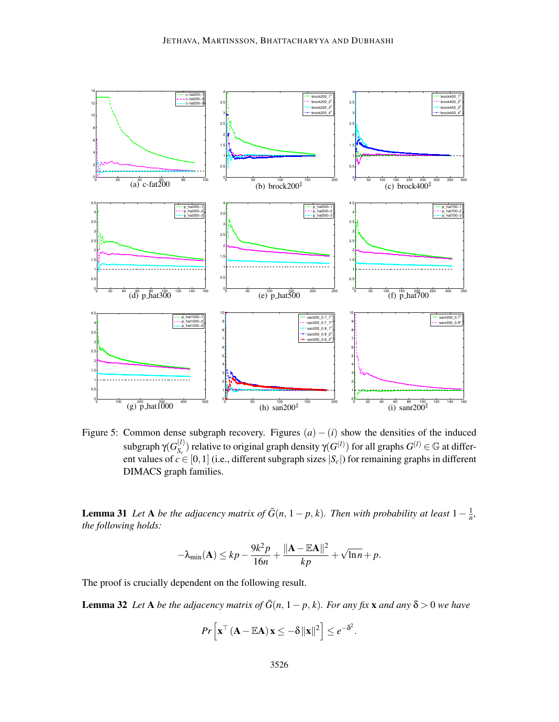

Figure 5: Common dense subgraph recovery. Figures  $(a) - (i)$  show the densities of the induced subgraph  $γ(G_S^{(l)})$  $S_c$ (*l*) relative to original graph density  $\gamma(G^{(l)})$  for all graphs  $G^{(l)} \in \mathbb{G}$  at different values of  $c \in [0,1]$  (i.e., different subgraph sizes  $|S_c|$ ) for remaining graphs in different DIMACS graph families.

**Lemma 31** *Let* **A** *be the adjacency matrix of*  $\bar{G}(n, 1-p, k)$ *. Then with probability at least*  $1 - \frac{1}{n}$  $\frac{1}{n}$ , *the following holds:*

$$
-\lambda_{\min}(\mathbf{A}) \leq kp - \frac{9k^2p}{16n} + \frac{\|\mathbf{A} - \mathbb{E}\mathbf{A}\|^2}{kp} + \sqrt{\ln n} + p.
$$

The proof is crucially dependent on the following result.

**Lemma 32** *Let* **A** *be the adjacency matrix of*  $\bar{G}(n, 1-p, k)$ *. For any fix* **x** *and any*  $\delta > 0$  *we have* 

$$
Pr\left[\mathbf{x}^{\top} \left(\mathbf{A} - \mathbb{E} \mathbf{A}\right) \mathbf{x} \leq -\delta \|\mathbf{x}\|^2\right] \leq e^{-\delta^2}.
$$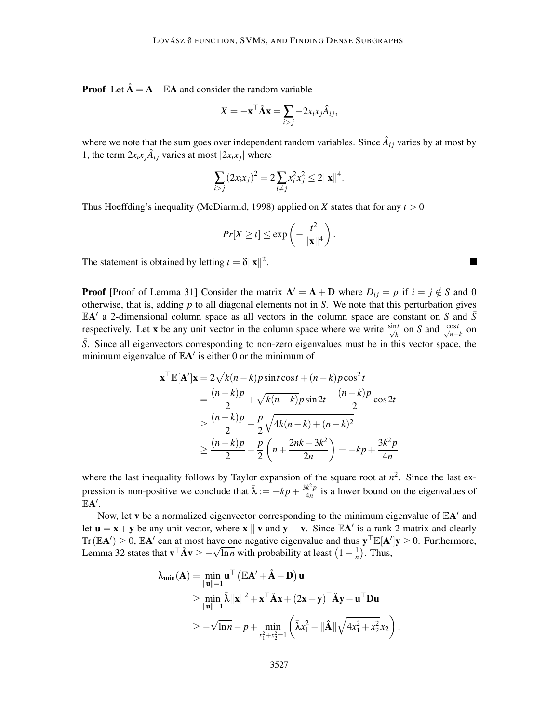**Proof** Let  $\hat{A} = A - \mathbb{E}A$  and consider the random variable

$$
X = -\mathbf{x}^\top \hat{\mathbf{A}} \mathbf{x} = \sum_{i > j} -2x_i x_j \hat{A}_{ij},
$$

where we note that the sum goes over independent random variables. Since  $\hat{A}_{ij}$  varies by at most by 1, the term  $2x_ix_j\hat{A}_{ij}$  varies at most  $|2x_ix_j|$  where

$$
\sum_{i>j} (2x_i x_j)^2 = 2 \sum_{i \neq j} x_i^2 x_j^2 \leq 2 ||\mathbf{x}||^4.
$$

Thus Hoeffding's inequality (McDiarmid, 1998) applied on X states that for any  $t > 0$ 

$$
Pr[X \ge t] \le \exp\left(-\frac{t^2}{\|\mathbf{x}\|^4}\right).
$$

The statement is obtained by letting  $t = \delta ||\mathbf{x}||^2$ .

**Proof** [Proof of Lemma 31] Consider the matrix  $A' = A + D$  where  $D_{ij} = p$  if  $i = j \notin S$  and 0 otherwise, that is, adding *p* to all diagonal elements not in *S*. We note that this perturbation gives  $EA'$  a 2-dimensional column space as all vectors in the column space are constant on *S* and  $\bar{S}$ respectively. Let **x** be any unit vector in the column space where we write  $\frac{\sin t}{\sqrt{k}}$  on *S* and  $\frac{\cos t}{\sqrt{n-k}}$  on  $\frac{\sin t}{\sqrt{n-k}}$ *S*. Since all eigenvectors corresponding to non-zero eigenvalues must be in this vector space, the minimum eigenvalue of  $\mathbb{E}A'$  is either 0 or the minimum of

$$
\mathbf{x}^{\top} \mathbb{E}[\mathbf{A}'] \mathbf{x} = 2\sqrt{k(n-k)} p \sin t \cos t + (n-k) p \cos^2 t
$$
  
= 
$$
\frac{(n-k)p}{2} + \sqrt{k(n-k)} p \sin 2t - \frac{(n-k)p}{2} \cos 2t
$$
  

$$
\geq \frac{(n-k)p}{2} - \frac{p}{2} \sqrt{4k(n-k) + (n-k)^2}
$$
  

$$
\geq \frac{(n-k)p}{2} - \frac{p}{2} \left( n + \frac{2nk - 3k^2}{2n} \right) = -kp + \frac{3k^2p}{4n}
$$

where the last inequality follows by Taylor expansion of the square root at  $n^2$ . Since the last expression is non-positive we conclude that  $\bar{\lambda} := -kp + \frac{3k^2p}{4n}$  $\frac{k^2 p}{4n}$  is a lower bound on the eigenvalues of  $EA'$ .

Now, let v be a normalized eigenvector corresponding to the minimum eigenvalue of  $\mathbb{E} \mathbf{A}'$  and let  $\mathbf{u} = \mathbf{x} + \mathbf{y}$  be any unit vector, where  $\mathbf{x} \parallel \mathbf{v}$  and  $\mathbf{y} \perp \mathbf{v}$ . Since  $\mathbb{E} \mathbf{A}'$  is a rank 2 matrix and clearly  $Tr(\mathbb{E} A') \ge 0$ ,  $\mathbb{E} A'$  can at most have one negative eigenvalue and thus  $\mathbf{y}^\top \mathbb{E}[A']\mathbf{y} \ge 0$ . Furthermore, Lemma 32 states that  $\mathbf{v}^\top \hat{\mathbf{A}} \mathbf{v} \ge -\sqrt{\ln n}$  with probability at least  $\left(1 - \frac{1}{n}\right)$  $\frac{1}{n}$ ). Thus,

$$
\lambda_{\min}(\mathbf{A}) = \min_{\|\mathbf{u}\|=1} \mathbf{u}^\top \left( \mathbb{E} \mathbf{A}' + \hat{\mathbf{A}} - \mathbf{D} \right) \mathbf{u}
$$
  
\n
$$
\geq \min_{\|\mathbf{u}\|=1} \bar{\lambda} \|\mathbf{x}\|^2 + \mathbf{x}^\top \hat{\mathbf{A}} \mathbf{x} + (2\mathbf{x} + \mathbf{y})^\top \hat{\mathbf{A}} \mathbf{y} - \mathbf{u}^\top \mathbf{D} \mathbf{u}
$$
  
\n
$$
\geq -\sqrt{\ln n} - p + \min_{x_1^2 + x_2^2 = 1} \left( \bar{\lambda} x_1^2 - \|\hat{\mathbf{A}}\| \sqrt{4x_1^2 + x_2^2} x_2 \right),
$$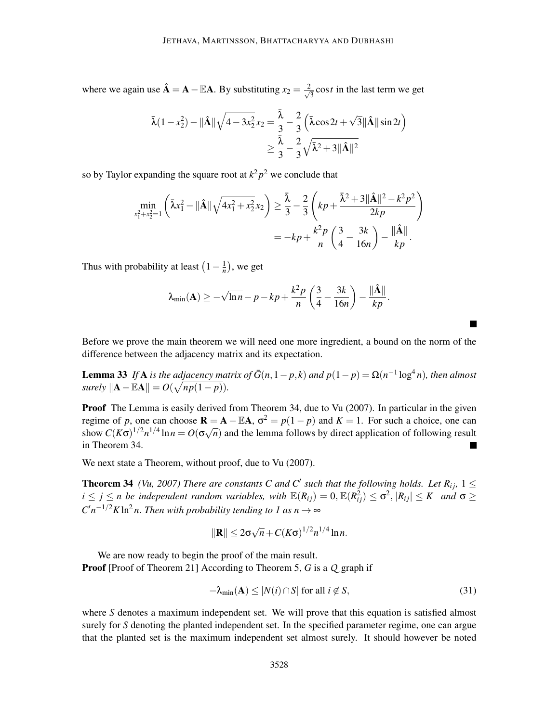where we again use  $\hat{A} = A - \mathbb{E}A$ . By substituting  $x_2 = \frac{2}{\sqrt{2}}$  $\frac{1}{3}$  cos*t* in the last term we get

$$
\bar{\lambda}(1 - x_2^2) - ||\hat{\mathbf{A}}||\sqrt{4 - 3x_2^2}x_2 = \frac{\bar{\lambda}}{3} - \frac{2}{3} (\bar{\lambda}\cos 2t + \sqrt{3}||\hat{\mathbf{A}}||\sin 2t) \n\geq \frac{\bar{\lambda}}{3} - \frac{2}{3}\sqrt{\bar{\lambda}^2 + 3||\hat{\mathbf{A}}||^2}
$$

so by Taylor expanding the square root at  $k^2 p^2$  we conclude that

$$
\min_{x_1^2 + x_2^2 = 1} \left( \bar{\lambda} x_1^2 - \|\hat{\mathbf{A}}\| \sqrt{4x_1^2 + x_2^2} x_2 \right) \ge \frac{\bar{\lambda}}{3} - \frac{2}{3} \left( k p + \frac{\bar{\lambda}^2 + 3\|\hat{\mathbf{A}}\|^2 - k^2 p^2}{2kp} \right)
$$
  
=  $-k p + \frac{k^2 p}{n} \left( \frac{3}{4} - \frac{3k}{16n} \right) - \frac{\|\hat{\mathbf{A}}\|}{kp}.$ 

Thus with probability at least  $\left(1 - \frac{1}{n}\right)$  $\frac{1}{n}$ ), we get

$$
\lambda_{\min}(\mathbf{A}) \geq -\sqrt{\ln n} - p - kp + \frac{k^2 p}{n} \left(\frac{3}{4} - \frac{3k}{16n}\right) - \frac{\|\hat{\mathbf{A}}\|}{kp}.
$$

Before we prove the main theorem we will need one more ingredient, a bound on the norm of the difference between the adjacency matrix and its expectation.

**Lemma 33** *If* **A** *is the adjacency matrix of*  $\bar{G}(n,1-p,k)$  *and*  $p(1-p) = \Omega(n^{-1} \log^4 n)$ *, then almost*  $surely \|\mathbf{A} - \mathbb{E}\mathbf{A}\| = O(\sqrt{np(1-p)})$ .

Proof The Lemma is easily derived from Theorem 34, due to Vu (2007). In particular in the given regime of *p*, one can choose  $\mathbf{R} = \mathbf{A} - \mathbb{E}\mathbf{A}$ ,  $\sigma^2 = p(1 - p)$  and  $K = 1$ . For such a choice, one can show  $C(K\sigma)^{1/2}n^{1/4}\ln n = O(\sigma\sqrt{n})$  and the lemma follows by direct application of following result in Theorem 34.

We next state a Theorem, without proof, due to Vu (2007).

**Theorem 34** *(Vu, 2007) There are constants C and C' such that the following holds. Let R<sub><i>ij*</sub>,  $1 \leq$  $i \leq j \leq n$  be independent random variables, with  $\mathbb{E}(R_{ij}) = 0$ ,  $\mathbb{E}(R_{ij}^2) \leq \sigma^2$ ,  $|R_{ij}| \leq K$  and  $\sigma \geq$  $C'n^{-1/2}K\ln^2 n$ . *Then with probability tending to 1 as*  $n \to \infty$ 

$$
\|\mathbf{R}\| \leq 2\sigma\sqrt{n} + C(K\sigma)^{1/2}n^{1/4}\ln n.
$$

We are now ready to begin the proof of the main result.

Proof [Proof of Theorem 21] According to Theorem 5, *G* is a *Q* graph if

$$
-\lambda_{\min}(\mathbf{A}) \le |N(i) \cap S| \text{ for all } i \notin S,
$$
\n(31)

where *S* denotes a maximum independent set. We will prove that this equation is satisfied almost surely for *S* denoting the planted independent set. In the specified parameter regime, one can argue that the planted set is the maximum independent set almost surely. It should however be noted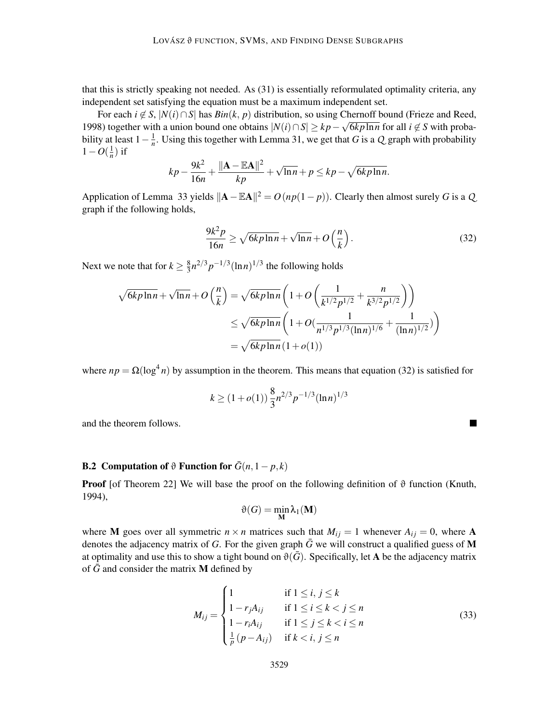that this is strictly speaking not needed. As (31) is essentially reformulated optimality criteria, any independent set satisfying the equation must be a maximum independent set.

For each  $i \notin S$ ,  $|N(i) \cap S|$  has  $Bin(k, p)$  distribution, so using Chernoff bound (Frieze and Reed, 1998) together with a union bound one obtains  $|N(i) \cap S| \ge kp - \sqrt{6kp \ln n}$  for all  $i \notin S$  with probability at least  $1 - \frac{1}{n}$  $\frac{1}{n}$ . Using this together with Lemma 31, we get that *G* is a *Q* graph with probability  $1-O(\frac{1}{n})$  $\frac{1}{n}$ ) if

$$
kp - \frac{9k^2}{16n} + \frac{\|\mathbf{A} - \mathbb{E}\mathbf{A}\|^2}{kp} + \sqrt{\ln n} + p \le kp - \sqrt{6kp\ln n}.
$$

Application of Lemma 33 yields  $\|\mathbf{A} - \mathbb{E}\mathbf{A}\|^2 = O(np(1-p))$ . Clearly then almost surely *G* is a *Q* graph if the following holds,

$$
\frac{9k^2p}{16n} \ge \sqrt{6k p \ln n} + \sqrt{\ln n} + O\left(\frac{n}{k}\right). \tag{32}
$$

 $\blacksquare$ 

Next we note that for  $k \geq \frac{8}{3}$  $\frac{8}{3}n^{2/3}p^{-1/3}(\ln n)^{1/3}$  the following holds

$$
\sqrt{6k p \ln n} + \sqrt{\ln n} + O\left(\frac{n}{k}\right) = \sqrt{6k p \ln n} \left(1 + O\left(\frac{1}{k^{1/2} p^{1/2}} + \frac{n}{k^{3/2} p^{1/2}}\right)\right)
$$
  

$$
\leq \sqrt{6k p \ln n} \left(1 + O\left(\frac{1}{n^{1/3} p^{1/3} (\ln n)^{1/6}} + \frac{1}{(\ln n)^{1/2}}\right)\right)
$$
  

$$
= \sqrt{6k p \ln n} \left(1 + o(1)\right)
$$

where  $np = \Omega(\log^4 n)$  by assumption in the theorem. This means that equation (32) is satisfied for

$$
k \ge (1 + o(1)) \frac{8}{3} n^{2/3} p^{-1/3} (\ln n)^{1/3}
$$

and the theorem follows.

## B.2 Computation of  $\vartheta$  Function for  $\bar{G}(n,1-p,k)$

**Proof** [of Theorem 22] We will base the proof on the following definition of  $\vartheta$  function (Knuth, 1994),

$$
\vartheta(G) = \min_{\mathbf{M}} \lambda_1(\mathbf{M})
$$

where **M** goes over all symmetric  $n \times n$  matrices such that  $M_{ij} = 1$  whenever  $A_{ij} = 0$ , where **A** denotes the adjacency matrix of *G*. For the given graph  $\bar{G}$  we will construct a qualified guess of **M** at optimality and use this to show a tight bound on  $\vartheta(\bar{G})$ . Specifically, let A be the adjacency matrix of  $\bar{G}$  and consider the matrix **M** defined by

$$
M_{ij} = \begin{cases} 1 & \text{if } 1 \le i, j \le k \\ 1 - r_j A_{ij} & \text{if } 1 \le i \le k < j \le n \\ 1 - r_i A_{ij} & \text{if } 1 \le j \le k < i \le n \\ \frac{1}{p} (p - A_{ij}) & \text{if } k < i, j \le n \end{cases} \tag{33}
$$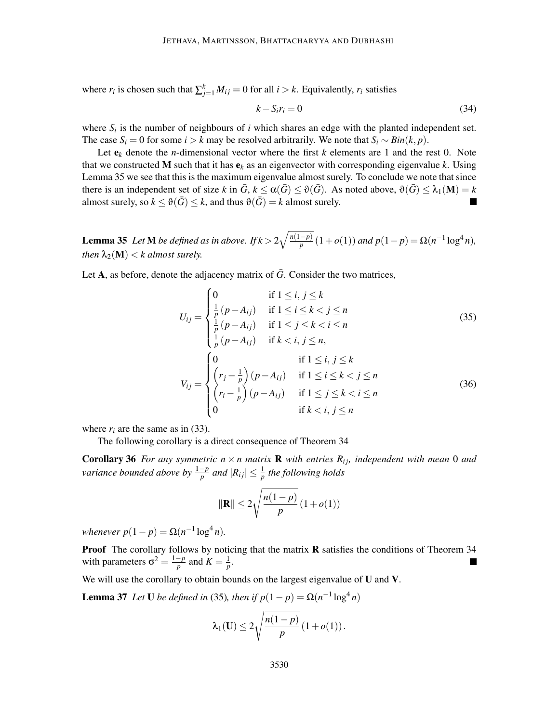where  $r_i$  is chosen such that  $\sum_{j=1}^{k} M_{ij} = 0$  for all  $i > k$ . Equivalently,  $r_i$  satisfies

$$
k - S_i r_i = 0 \tag{34}
$$

where  $S_i$  is the number of neighbours of  $i$  which shares an edge with the planted independent set. The case  $S_i = 0$  for some  $i > k$  may be resolved arbitrarily. We note that  $S_i \sim Bin(k, p)$ .

Let  $e_k$  denote the *n*-dimensional vector where the first *k* elements are 1 and the rest 0. Note that we constructed **M** such that it has  $e_k$  as an eigenvector with corresponding eigenvalue *k*. Using Lemma 35 we see that this is the maximum eigenvalue almost surely. To conclude we note that since there is an independent set of size *k* in  $\bar{G}$ ,  $k \leq \alpha(\bar{G}) \leq \vartheta(\bar{G})$ . As noted above,  $\vartheta(\bar{G}) \leq \lambda_1(\mathbf{M}) = k$ almost surely, so  $k \le \theta(\bar{G}) \le k$ , and thus  $\theta(\bar{G}) = k$  almost surely.

**Lemma 35** *Let* **M** *be defined as in above. If*  $k > 2\sqrt{\frac{n(1-p)}{p}}(1+o(1))$  *and*  $p(1-p) = Ω(n^{-1} \log^4 n)$ *, then*  $\lambda_2(M) < k$  *almost surely.* 

Let A, as before, denote the adjacency matrix of  $\bar{G}$ . Consider the two matrices,

$$
U_{ij} = \begin{cases} 0 & \text{if } 1 \le i, j \le k \\ \frac{1}{p}(p - A_{ij}) & \text{if } 1 \le i \le k < j \le n \\ \frac{1}{p}(p - A_{ij}) & \text{if } 1 \le j \le k < i \le n \\ \frac{1}{p}(p - A_{ij}) & \text{if } k < i, j \le n, \end{cases} \tag{35}
$$
\n
$$
V_{ij} = \begin{cases} 0 & \text{if } 1 \le i, j \le k \\ \left(r_j - \frac{1}{p}\right)(p - A_{ij}) & \text{if } 1 \le i \le k < j \le n \\ \left(r_i - \frac{1}{p}\right)(p - A_{ij}) & \text{if } 1 \le j \le k < i \le n \\ 0 & \text{if } k < i, j \le n \end{cases} \tag{36}
$$

where  $r_i$  are the same as in (33).

The following corollary is a direct consequence of Theorem 34

**Corollary 36** *For any symmetric*  $n \times n$  *matrix* **R** *with entries*  $R_{ij}$ *, independent with mean* 0 *and variance bounded above by*  $\frac{1-p}{p}$  *and*  $|R_{ij}| \leq \frac{1}{p}$  *the following holds* 

$$
\|\mathbf{R}\| \le 2\sqrt{\frac{n(1-p)}{p}}(1+o(1))
$$

*whenever*  $p(1-p) = \Omega(n^{-1} \log^4 n)$ *.* 

**Proof** The corollary follows by noticing that the matrix  $\bf{R}$  satisfies the conditions of Theorem 34 with parameters  $\sigma^2 = \frac{1-p}{p}$  and  $K = \frac{1}{p}$  $\frac{1}{p}$ .

We will use the corollary to obtain bounds on the largest eigenvalue of U and V.

**Lemma 37** *Let* **U** *be defined in* (35)*, then if*  $p(1-p) = \Omega(n^{-1} \log^4 n)$ 

$$
\lambda_1(\mathbf{U}) \leq 2\sqrt{\frac{n(1-p)}{p}}\left(1 + o(1)\right).
$$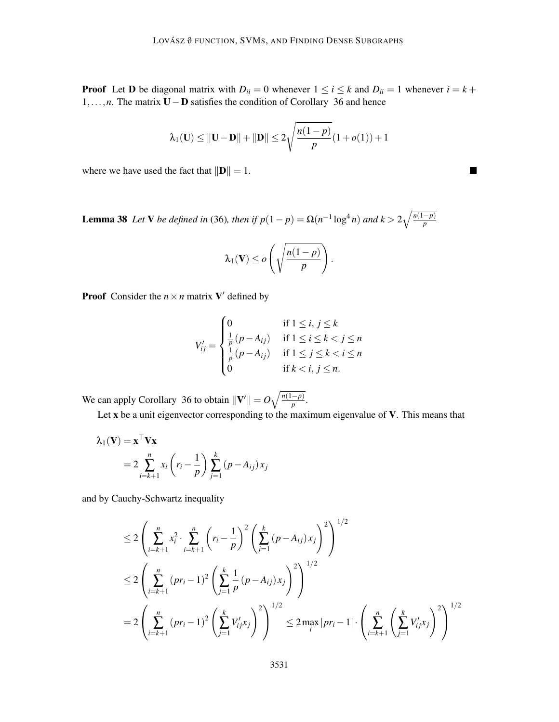**Proof** Let **D** be diagonal matrix with  $D_{ii} = 0$  whenever  $1 \le i \le k$  and  $D_{ii} = 1$  whenever  $i = k + 1$ 1,...,*n*. The matrix U−D satisfies the condition of Corollary 36 and hence

$$
\lambda_1(\mathbf{U}) \le ||\mathbf{U} - \mathbf{D}|| + ||\mathbf{D}|| \le 2\sqrt{\frac{n(1-p)}{p}}(1+o(1)) + 1
$$

 $\blacksquare$ 

where we have used the fact that  $\Vert \mathbf{D} \Vert = 1$ .

Lemma 38 *Let* V *be defined in* (36)*, then if*  $p(1-p) = \Omega(n^{-1} \log^4 n)$  *and*  $k > 2\sqrt{\frac{n(1-p)}{p}}$ 

$$
\lambda_1(\mathbf{V}) \leq o\left(\sqrt{\frac{n(1-p)}{p}}\right).
$$

**Proof** Consider the  $n \times n$  matrix **V**' defined by

$$
V'_{ij} = \begin{cases} 0 & \text{if } 1 \leq i, j \leq k \\ \frac{1}{p}(p - A_{ij}) & \text{if } 1 \leq i \leq k < j \leq n \\ \frac{1}{p}(p - A_{ij}) & \text{if } 1 \leq j \leq k < i \leq n \\ 0 & \text{if } k < i, j \leq n. \end{cases}
$$

We can apply Corollary 36 to obtain  $\|\mathbf{V}'\| = O\sqrt{\frac{n(1-p)}{p}}$ .

Let x be a unit eigenvector corresponding to the maximum eigenvalue of V. This means that

$$
\lambda_1(\mathbf{V}) = \mathbf{x}^\top \mathbf{V} \mathbf{x}
$$
  
=  $2 \sum_{i=k+1}^n x_i \left( r_i - \frac{1}{p} \right) \sum_{j=1}^k (p - A_{ij}) x_j$ 

and by Cauchy-Schwartz inequality

$$
\leq 2 \left( \sum_{i=k+1}^{n} x_i^2 \cdot \sum_{i=k+1}^{n} \left( r_i - \frac{1}{p} \right)^2 \left( \sum_{j=1}^{k} (p - A_{ij}) x_j \right)^2 \right)^{1/2}
$$
  

$$
\leq 2 \left( \sum_{i=k+1}^{n} (pr_i - 1)^2 \left( \sum_{j=1}^{k} \frac{1}{p} (p - A_{ij}) x_j \right)^2 \right)^{1/2}
$$
  

$$
= 2 \left( \sum_{i=k+1}^{n} (pr_i - 1)^2 \left( \sum_{j=1}^{k} V'_{ij} x_j \right)^2 \right)^{1/2} \leq 2 \max_{i} |pr_i - 1| \cdot \left( \sum_{i=k+1}^{n} \left( \sum_{j=1}^{k} V'_{ij} x_j \right)^2 \right)^{1/2}
$$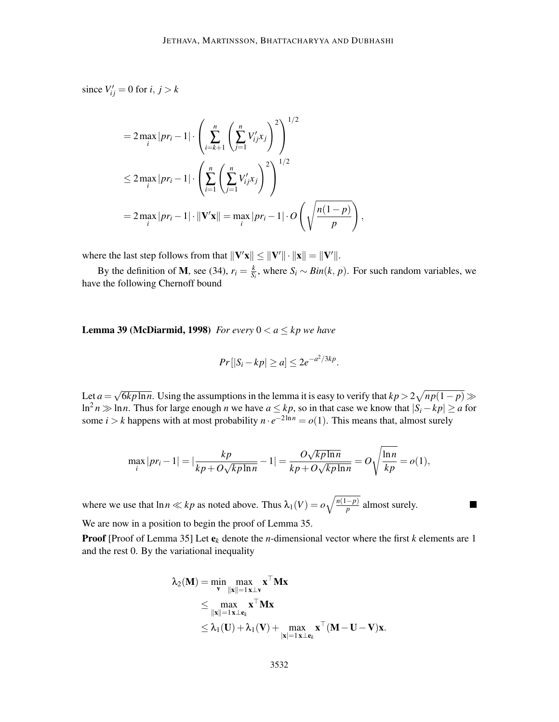since  $V'_{ij} = 0$  for  $i, j > k$ 

$$
= 2 \max_{i} |pr_{i} - 1| \cdot \left( \sum_{i=k+1}^{n} \left( \sum_{j=1}^{n} V'_{ij} x_{j} \right)^{2} \right)^{1/2}
$$
  

$$
\leq 2 \max_{i} |pr_{i} - 1| \cdot \left( \sum_{i=1}^{n} \left( \sum_{j=1}^{n} V'_{ij} x_{j} \right)^{2} \right)^{1/2}
$$
  

$$
= 2 \max_{i} |pr_{i} - 1| \cdot ||\mathbf{V}'\mathbf{x}|| = \max_{i} |pr_{i} - 1| \cdot O\left(\sqrt{\frac{n(1-p)}{p}}\right),
$$

where the last step follows from that  $||\mathbf{V}'\mathbf{x}|| \le ||\mathbf{V}'|| \cdot ||\mathbf{x}|| = ||\mathbf{V}'||$ .

By the definition of **M**, see (34),  $r_i = \frac{k}{s}$  $\frac{k}{S_i}$ , where  $S_i$  ∼ *Bin*(*k*, *p*). For such random variables, we have the following Chernoff bound

**Lemma 39 (McDiarmid, 1998)** *For every*  $0 < a \leq kp$  *we have* 

$$
Pr[|S_i - kp| \ge a] \le 2e^{-a^2/3kp}.
$$

Let  $a = \sqrt{6k p \ln n}$ . Using the assumptions in the lemma it is easy to verify that  $kp > 2\sqrt{np(1-p)} \gg$ ln<sup>2</sup> *n* ≫ ln *n*. Thus for large enough *n* we have  $a \leq kp$ , so in that case we know that  $|S_i - kp| \geq a$  for some *i* > *k* happens with at most probability  $n \cdot e^{-2\ln n} = o(1)$ . This means that, almost surely

$$
\max_{i} |pr_i - 1| = |\frac{kp}{kp + O\sqrt{kp\ln n}} - 1| = \frac{O\sqrt{kp\ln n}}{kp + O\sqrt{kp\ln n}} = O\sqrt{\frac{\ln n}{kp}} = o(1),
$$

where we use that  $\ln n \ll kp$  as noted above. Thus  $\lambda_1(V) = o\sqrt{\frac{n(1-p)}{p}}$  almost surely. We are now in a position to begin the proof of Lemma 35.

Proof [Proof of Lemma 35] Let e*<sup>k</sup>* denote the *n*-dimensional vector where the first *k* elements are 1 and the rest 0. By the variational inequality

 $\overline{\phantom{a}}$ 

$$
\lambda_2(\mathbf{M}) = \min_{\mathbf{v}} \max_{\|\mathbf{x}\|=1} \mathbf{x} \perp \mathbf{v}^{\top} \mathbf{M} \mathbf{x}
$$
  
\n
$$
\leq \max_{\|\mathbf{x}\|=1} \mathbf{x} \perp \mathbf{e}_k \mathbf{x}^{\top} \mathbf{M} \mathbf{x}
$$
  
\n
$$
\leq \lambda_1(\mathbf{U}) + \lambda_1(\mathbf{V}) + \max_{|\mathbf{x}|=1} \mathbf{x} \perp \mathbf{e}_k \mathbf{x}^{\top} (\mathbf{M} - \mathbf{U} - \mathbf{V}) \mathbf{x}.
$$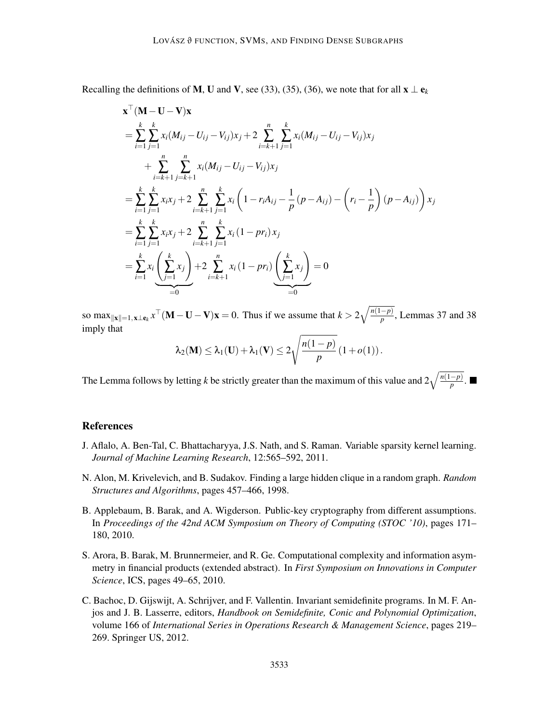Recalling the definitions of M, U and V, see (33), (35), (36), we note that for all  $\mathbf{x} \perp \mathbf{e}_k$ 

$$
\mathbf{x}^{\top} (\mathbf{M} - \mathbf{U} - \mathbf{V}) \mathbf{x}
$$
\n
$$
= \sum_{i=1}^{k} \sum_{j=1}^{k} x_i (M_{ij} - U_{ij} - V_{ij}) x_j + 2 \sum_{i=k+1}^{n} \sum_{j=1}^{k} x_i (M_{ij} - U_{ij} - V_{ij}) x_j
$$
\n
$$
+ \sum_{i=k+1}^{n} \sum_{j=k+1}^{n} x_i (M_{ij} - U_{ij} - V_{ij}) x_j
$$
\n
$$
= \sum_{i=1}^{k} \sum_{j=1}^{k} x_i x_j + 2 \sum_{i=k+1}^{n} \sum_{j=1}^{k} x_i \left( 1 - r_i A_{ij} - \frac{1}{p} (p - A_{ij}) - \left( r_i - \frac{1}{p} \right) (p - A_{ij}) \right) x_j
$$
\n
$$
= \sum_{i=1}^{k} \sum_{j=1}^{k} x_i x_j + 2 \sum_{i=k+1}^{n} \sum_{j=1}^{k} x_i (1 - pr_i) x_j
$$
\n
$$
= \sum_{i=1}^{k} x_i \left( \sum_{j=1}^{k} x_j \right) + 2 \sum_{i=k+1}^{n} x_i (1 - pr_i) \left( \sum_{j=1}^{k} x_j \right) = 0
$$

so max $_{\|\mathbf{x}\|=1,\mathbf{x}\perp\mathbf{e}_k}$   $x^{\top}(\mathbf{M}-\mathbf{U}-\mathbf{V})\mathbf{x}=0$ . Thus if we assume that  $k > 2\sqrt{\frac{n(1-p)}{p}}$ , Lemmas 37 and 38 imply that

$$
\lambda_2(\mathbf{M}) \leq \lambda_1(\mathbf{U}) + \lambda_1(\mathbf{V}) \leq 2\sqrt{\frac{n(1-p)}{p}}\left(1 + o(1)\right).
$$

The Lemma follows by letting *k* be strictly greater than the maximum of this value and  $2\sqrt{\frac{n(1-p)}{p}}$ .

## References

- J. Aflalo, A. Ben-Tal, C. Bhattacharyya, J.S. Nath, and S. Raman. Variable sparsity kernel learning. *Journal of Machine Learning Research*, 12:565–592, 2011.
- N. Alon, M. Krivelevich, and B. Sudakov. Finding a large hidden clique in a random graph. *Random Structures and Algorithms*, pages 457–466, 1998.
- B. Applebaum, B. Barak, and A. Wigderson. Public-key cryptography from different assumptions. In *Proceedings of the 42nd ACM Symposium on Theory of Computing (STOC '10)*, pages 171– 180, 2010.
- S. Arora, B. Barak, M. Brunnermeier, and R. Ge. Computational complexity and information asymmetry in financial products (extended abstract). In *First Symposium on Innovations in Computer Science*, ICS, pages 49–65, 2010.
- C. Bachoc, D. Gijswijt, A. Schrijver, and F. Vallentin. Invariant semidefinite programs. In M. F. Anjos and J. B. Lasserre, editors, *Handbook on Semidefinite, Conic and Polynomial Optimization*, volume 166 of *International Series in Operations Research & Management Science*, pages 219– 269. Springer US, 2012.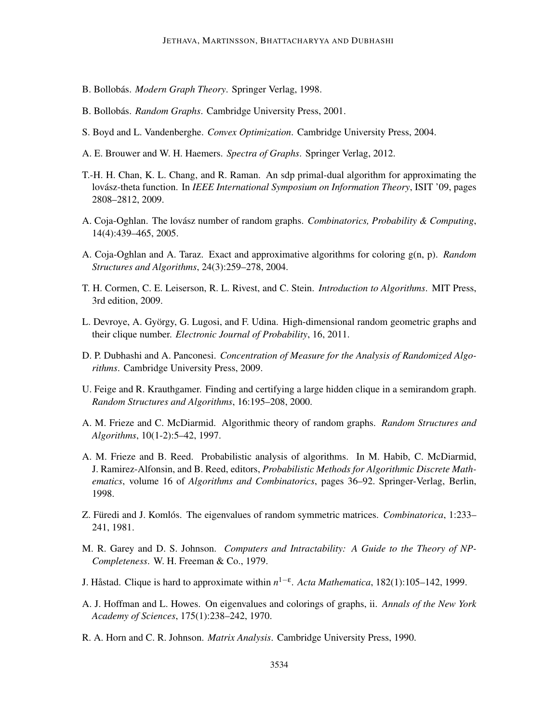- B. Bollobás. Modern Graph Theory. Springer Verlag, 1998.
- B. Bollobás. *Random Graphs*. Cambridge University Press, 2001.
- S. Boyd and L. Vandenberghe. *Convex Optimization*. Cambridge University Press, 2004.
- A. E. Brouwer and W. H. Haemers. *Spectra of Graphs*. Springer Verlag, 2012.
- T.-H. H. Chan, K. L. Chang, and R. Raman. An sdp primal-dual algorithm for approximating the lovász-theta function. In *IEEE International Symposium on Information Theory*, ISIT '09, pages 2808–2812, 2009.
- A. Coja-Oghlan. The lovász number of random graphs. *Combinatorics, Probability & Computing*, 14(4):439–465, 2005.
- A. Coja-Oghlan and A. Taraz. Exact and approximative algorithms for coloring g(n, p). *Random Structures and Algorithms*, 24(3):259–278, 2004.
- T. H. Cormen, C. E. Leiserson, R. L. Rivest, and C. Stein. *Introduction to Algorithms*. MIT Press, 3rd edition, 2009.
- L. Devroye, A. György, G. Lugosi, and F. Udina. High-dimensional random geometric graphs and their clique number. *Electronic Journal of Probability*, 16, 2011.
- D. P. Dubhashi and A. Panconesi. *Concentration of Measure for the Analysis of Randomized Algorithms*. Cambridge University Press, 2009.
- U. Feige and R. Krauthgamer. Finding and certifying a large hidden clique in a semirandom graph. *Random Structures and Algorithms*, 16:195–208, 2000.
- A. M. Frieze and C. McDiarmid. Algorithmic theory of random graphs. *Random Structures and Algorithms*, 10(1-2):5–42, 1997.
- A. M. Frieze and B. Reed. Probabilistic analysis of algorithms. In M. Habib, C. McDiarmid, J. Ramirez-Alfonsin, and B. Reed, editors, *Probabilistic Methods for Algorithmic Discrete Mathematics*, volume 16 of *Algorithms and Combinatorics*, pages 36–92. Springer-Verlag, Berlin, 1998.
- Z. Füredi and J. Komlós. The eigenvalues of random symmetric matrices. *Combinatorica*, 1:233– 241, 1981.
- M. R. Garey and D. S. Johnson. *Computers and Intractability: A Guide to the Theory of NP-Completeness*. W. H. Freeman & Co., 1979.
- J. Håstad. Clique is hard to approximate within *n*<sup>1-ε</sup>. *Acta Mathematica*, 182(1):105–142, 1999.
- A. J. Hoffman and L. Howes. On eigenvalues and colorings of graphs, ii. *Annals of the New York Academy of Sciences*, 175(1):238–242, 1970.
- R. A. Horn and C. R. Johnson. *Matrix Analysis*. Cambridge University Press, 1990.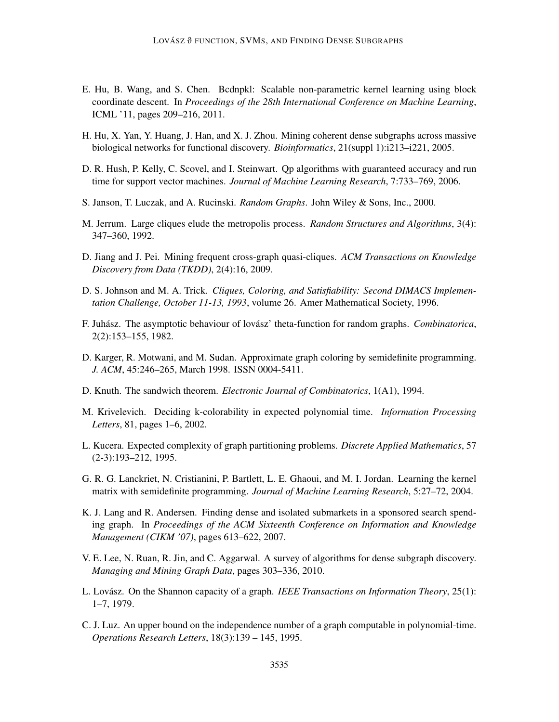- E. Hu, B. Wang, and S. Chen. Bcdnpkl: Scalable non-parametric kernel learning using block coordinate descent. In *Proceedings of the 28th International Conference on Machine Learning*, ICML '11, pages 209–216, 2011.
- H. Hu, X. Yan, Y. Huang, J. Han, and X. J. Zhou. Mining coherent dense subgraphs across massive biological networks for functional discovery. *Bioinformatics*, 21(suppl 1):i213–i221, 2005.
- D. R. Hush, P. Kelly, C. Scovel, and I. Steinwart. Qp algorithms with guaranteed accuracy and run time for support vector machines. *Journal of Machine Learning Research*, 7:733–769, 2006.
- S. Janson, T. Luczak, and A. Rucinski. *Random Graphs*. John Wiley & Sons, Inc., 2000.
- M. Jerrum. Large cliques elude the metropolis process. *Random Structures and Algorithms*, 3(4): 347–360, 1992.
- D. Jiang and J. Pei. Mining frequent cross-graph quasi-cliques. *ACM Transactions on Knowledge Discovery from Data (TKDD)*, 2(4):16, 2009.
- D. S. Johnson and M. A. Trick. *Cliques, Coloring, and Satisfiability: Second DIMACS Implementation Challenge, October 11-13, 1993*, volume 26. Amer Mathematical Society, 1996.
- F. Juhász. The asymptotic behaviour of lovász' theta-function for random graphs. *Combinatorica*, 2(2):153–155, 1982.
- D. Karger, R. Motwani, and M. Sudan. Approximate graph coloring by semidefinite programming. *J. ACM*, 45:246–265, March 1998. ISSN 0004-5411.
- D. Knuth. The sandwich theorem. *Electronic Journal of Combinatorics*, 1(A1), 1994.
- M. Krivelevich. Deciding k-colorability in expected polynomial time. *Information Processing Letters*, 81, pages 1–6, 2002.
- L. Kucera. Expected complexity of graph partitioning problems. *Discrete Applied Mathematics*, 57 (2-3):193–212, 1995.
- G. R. G. Lanckriet, N. Cristianini, P. Bartlett, L. E. Ghaoui, and M. I. Jordan. Learning the kernel matrix with semidefinite programming. *Journal of Machine Learning Research*, 5:27–72, 2004.
- K. J. Lang and R. Andersen. Finding dense and isolated submarkets in a sponsored search spending graph. In *Proceedings of the ACM Sixteenth Conference on Information and Knowledge Management (CIKM '07)*, pages 613–622, 2007.
- V. E. Lee, N. Ruan, R. Jin, and C. Aggarwal. A survey of algorithms for dense subgraph discovery. *Managing and Mining Graph Data*, pages 303–336, 2010.
- L. Lovász. On the Shannon capacity of a graph. *IEEE Transactions on Information Theory*, 25(1): 1–7, 1979.
- C. J. Luz. An upper bound on the independence number of a graph computable in polynomial-time. *Operations Research Letters*, 18(3):139 – 145, 1995.